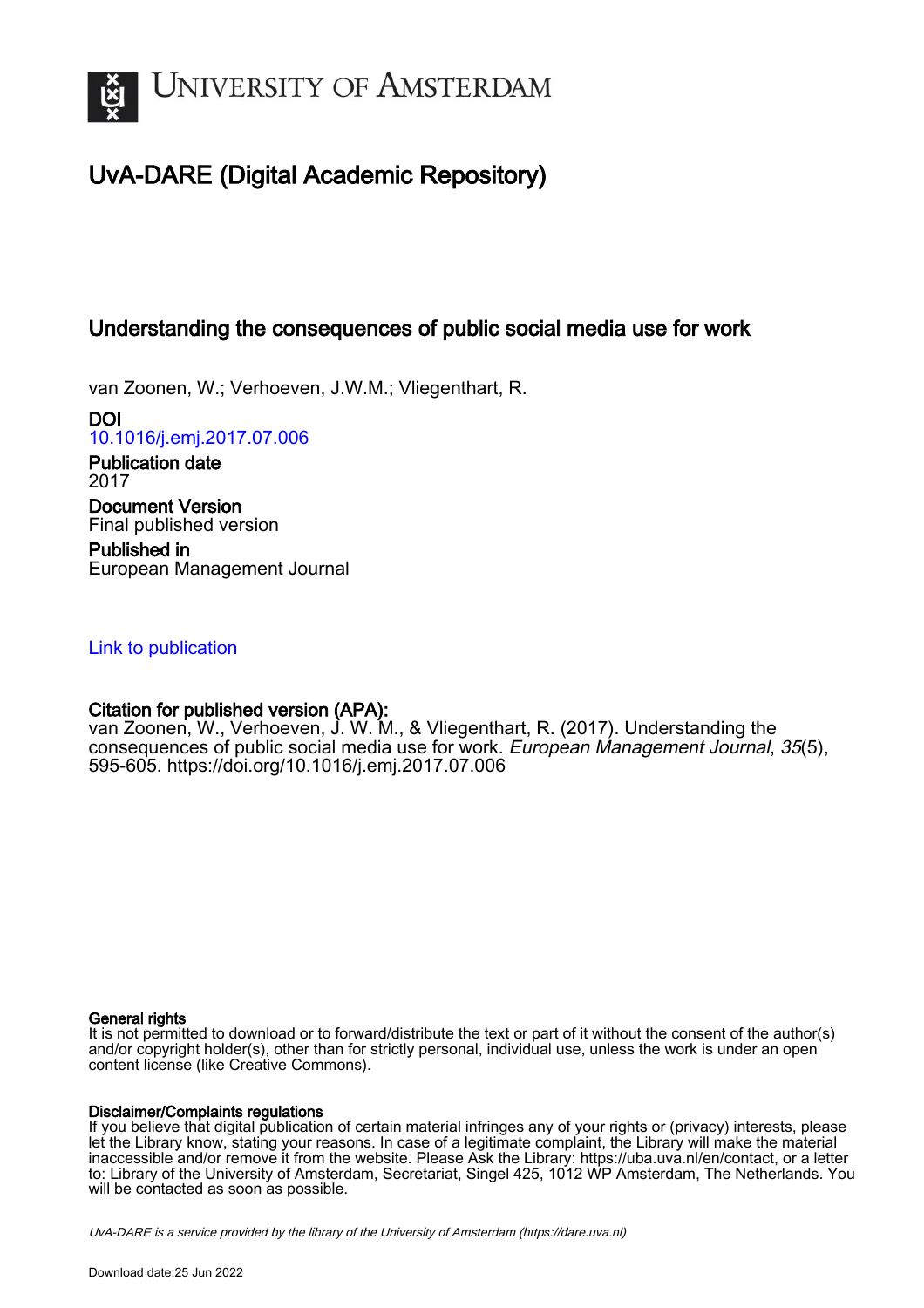

# UvA-DARE (Digital Academic Repository)

# Understanding the consequences of public social media use for work

van Zoonen, W.; Verhoeven, J.W.M.; Vliegenthart, R.

DOI [10.1016/j.emj.2017.07.006](https://doi.org/10.1016/j.emj.2017.07.006)

Publication date 2017 Document Version Final published version

Published in European Management Journal

## [Link to publication](https://dare.uva.nl/personal/pure/en/publications/understanding-the-consequences-of-public-social-media-use-for-work(6a9a818e-e4f2-420b-94ed-e4d5ce31dc17).html)

## Citation for published version (APA):

van Zoonen, W., Verhoeven, J. W. M., & Vliegenthart, R. (2017). Understanding the consequences of public social media use for work. European Management Journal, 35(5), 595-605. <https://doi.org/10.1016/j.emj.2017.07.006>

## General rights

It is not permitted to download or to forward/distribute the text or part of it without the consent of the author(s) and/or copyright holder(s), other than for strictly personal, individual use, unless the work is under an open content license (like Creative Commons).

## Disclaimer/Complaints regulations

If you believe that digital publication of certain material infringes any of your rights or (privacy) interests, please let the Library know, stating your reasons. In case of a legitimate complaint, the Library will make the material inaccessible and/or remove it from the website. Please Ask the Library: https://uba.uva.nl/en/contact, or a letter to: Library of the University of Amsterdam, Secretariat, Singel 425, 1012 WP Amsterdam, The Netherlands. You will be contacted as soon as possible.

UvA-DARE is a service provided by the library of the University of Amsterdam (http*s*://dare.uva.nl)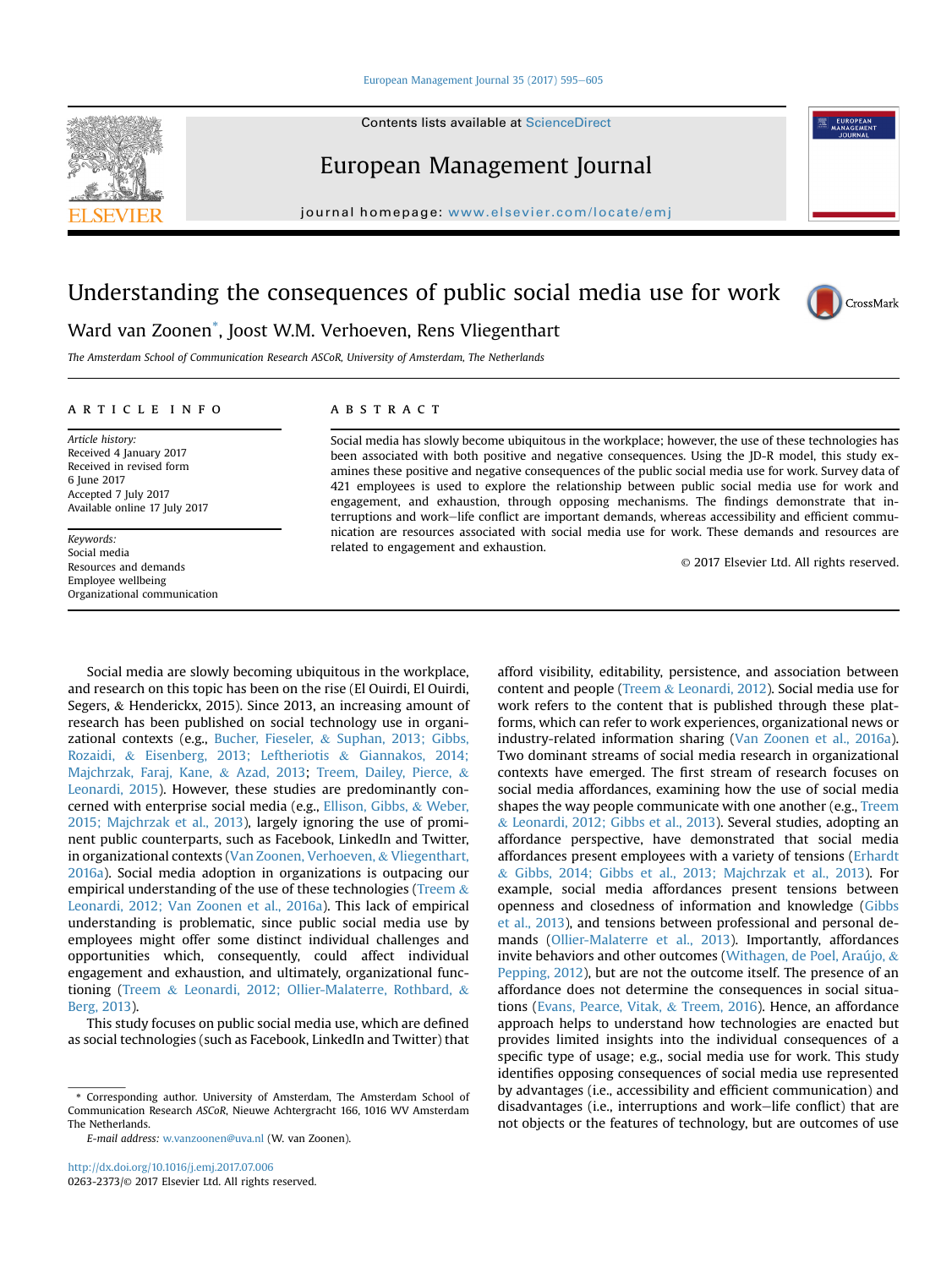#### [European Management Journal 35 \(2017\) 595](https://doi.org/10.1016/j.emj.2017.07.006)-[605](https://doi.org/10.1016/j.emj.2017.07.006)

Contents lists available at ScienceDirect



# European Management Journal

journal homepage: <www.elsevier.com/locate/emj>

# Understanding the consequences of public social media use for work



Ward van Zoonen\* , Joost W.M. Verhoeven, Rens Vliegenthart

The Amsterdam School of Communication Research ASCoR, University of Amsterdam, The Netherlands

#### article info

Article history: Received 4 January 2017 Received in revised form 6 June 2017 Accepted 7 July 2017 Available online 17 July 2017

Keywords: Social media Resources and demands Employee wellbeing Organizational communication

## **ABSTRACT**

Social media has slowly become ubiquitous in the workplace; however, the use of these technologies has been associated with both positive and negative consequences. Using the JD-R model, this study examines these positive and negative consequences of the public social media use for work. Survey data of 421 employees is used to explore the relationship between public social media use for work and engagement, and exhaustion, through opposing mechanisms. The findings demonstrate that interruptions and work-life conflict are important demands, whereas accessibility and efficient communication are resources associated with social media use for work. These demands and resources are related to engagement and exhaustion.

© 2017 Elsevier Ltd. All rights reserved.

Social media are slowly becoming ubiquitous in the workplace, and research on this topic has been on the rise (El Ouirdi, El Ouirdi, Segers, & Henderickx, 2015). Since 2013, an increasing amount of research has been published on social technology use in organizational contexts (e.g., [Bucher, Fieseler,](#page-10-0) & [Suphan, 2013; Gibbs,](#page-10-0) [Rozaidi,](#page-10-0) & [Eisenberg, 2013; Leftheriotis](#page-10-0) & [Giannakos, 2014;](#page-10-0) [Majchrzak, Faraj, Kane,](#page-10-0) & [Azad, 2013](#page-10-0); [Treem, Dailey, Pierce,](#page-11-0) & [Leonardi, 2015](#page-11-0)). However, these studies are predominantly concerned with enterprise social media (e.g., [Ellison, Gibbs,](#page-10-0) & [Weber,](#page-10-0) [2015; Majchrzak et al., 2013](#page-10-0)), largely ignoring the use of prominent public counterparts, such as Facebook, LinkedIn and Twitter, in organizational contexts [\(Van Zoonen, Verhoeven,](#page-11-0) & [Vliegenthart,](#page-11-0) [2016a\)](#page-11-0). Social media adoption in organizations is outpacing our empirical understanding of the use of these technologies [\(Treem](#page-11-0) & [Leonardi, 2012; Van Zoonen et al., 2016a\)](#page-11-0). This lack of empirical understanding is problematic, since public social media use by employees might offer some distinct individual challenges and opportunities which, consequently, could affect individual engagement and exhaustion, and ultimately, organizational functioning ([Treem](#page-11-0) & [Leonardi, 2012; Ollier-Malaterre, Rothbard,](#page-11-0) & [Berg, 2013](#page-11-0)).

This study focuses on public social media use, which are defined as social technologies (such as Facebook, LinkedIn and Twitter) that

E-mail address: [w.vanzoonen@uva.nl](mailto:w.vanzoonen@uva.nl) (W. van Zoonen).

afford visibility, editability, persistence, and association between content and people ([Treem](#page-11-0) & [Leonardi, 2012\)](#page-11-0). Social media use for work refers to the content that is published through these platforms, which can refer to work experiences, organizational news or industry-related information sharing ([Van Zoonen et al., 2016a\)](#page-11-0). Two dominant streams of social media research in organizational contexts have emerged. The first stream of research focuses on social media affordances, examining how the use of social media shapes the way people communicate with one another (e.g., [Treem](#page-11-0) & [Leonardi, 2012; Gibbs et al., 2013\)](#page-11-0). Several studies, adopting an affordance perspective, have demonstrated that social media affordances present employees with a variety of tensions [\(Erhardt](#page-10-0) & [Gibbs, 2014; Gibbs et al., 2013; Majchrzak et al., 2013](#page-10-0)). For example, social media affordances present tensions between openness and closedness of information and knowledge [\(Gibbs](#page-10-0) [et al., 2013](#page-10-0)), and tensions between professional and personal demands [\(Ollier-Malaterre et al., 2013](#page-10-0)). Importantly, affordances invite behaviors and other outcomes [\(Withagen, de Poel, Araújo,](#page-11-0) & [Pepping, 2012](#page-11-0)), but are not the outcome itself. The presence of an affordance does not determine the consequences in social situations [\(Evans, Pearce, Vitak,](#page-10-0) & [Treem, 2016\)](#page-10-0). Hence, an affordance approach helps to understand how technologies are enacted but provides limited insights into the individual consequences of a specific type of usage; e.g., social media use for work. This study identifies opposing consequences of social media use represented by advantages (i.e., accessibility and efficient communication) and disadvantages (i.e., interruptions and work-life conflict) that are not objects or the features of technology, but are outcomes of use

<sup>\*</sup> Corresponding author. University of Amsterdam, The Amsterdam School of Communication Research ASCoR, Nieuwe Achtergracht 166, 1016 WV Amsterdam The Netherlands.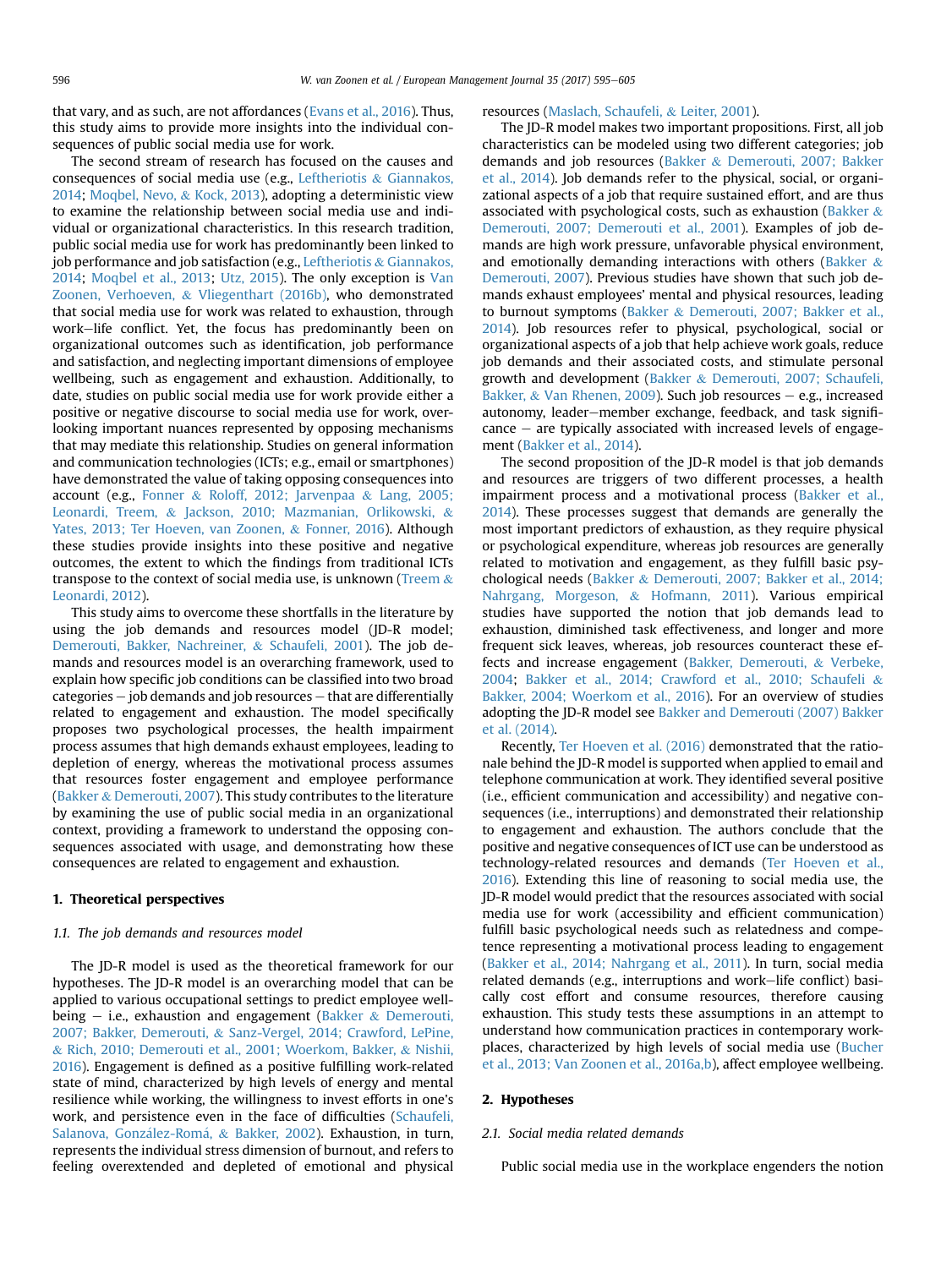that vary, and as such, are not affordances ([Evans et al., 2016](#page-10-0)). Thus, this study aims to provide more insights into the individual consequences of public social media use for work.

The second stream of research has focused on the causes and consequences of social media use (e.g., [Leftheriotis](#page-10-0) & [Giannakos,](#page-10-0) [2014](#page-10-0); [Moqbel, Nevo,](#page-10-0) & [Kock, 2013\)](#page-10-0), adopting a deterministic view to examine the relationship between social media use and individual or organizational characteristics. In this research tradition, public social media use for work has predominantly been linked to job performance and job satisfaction (e.g., [Leftheriotis](#page-10-0)  $&$  [Giannakos,](#page-10-0) [2014](#page-10-0); [Moqbel et al., 2013;](#page-10-0) [Utz, 2015\)](#page-11-0). The only exception is [Van](#page-11-0) [Zoonen, Verhoeven,](#page-11-0) & [Vliegenthart \(2016b\)](#page-11-0), who demonstrated that social media use for work was related to exhaustion, through work-life conflict. Yet, the focus has predominantly been on organizational outcomes such as identification, job performance and satisfaction, and neglecting important dimensions of employee wellbeing, such as engagement and exhaustion. Additionally, to date, studies on public social media use for work provide either a positive or negative discourse to social media use for work, overlooking important nuances represented by opposing mechanisms that may mediate this relationship. Studies on general information and communication technologies (ICTs; e.g., email or smartphones) have demonstrated the value of taking opposing consequences into account (e.g., [Fonner](#page-10-0) & [Roloff, 2012; Jarvenpaa](#page-10-0) & [Lang, 2005;](#page-10-0) [Leonardi, Treem,](#page-10-0) & [Jackson, 2010; Mazmanian, Orlikowski,](#page-10-0) & [Yates, 2013; Ter Hoeven, van Zoonen,](#page-10-0) & [Fonner, 2016\)](#page-10-0). Although these studies provide insights into these positive and negative outcomes, the extent to which the findings from traditional ICTs transpose to the context of social media use, is unknown [\(Treem](#page-11-0)  $\&$ [Leonardi, 2012](#page-11-0)).

This study aims to overcome these shortfalls in the literature by using the job demands and resources model (JD-R model; [Demerouti, Bakker, Nachreiner,](#page-10-0) & [Schaufeli, 2001](#page-10-0)). The job demands and resources model is an overarching framework, used to explain how specific job conditions can be classified into two broad  $categories - job demands and job resources - that are differentially$ related to engagement and exhaustion. The model specifically proposes two psychological processes, the health impairment process assumes that high demands exhaust employees, leading to depletion of energy, whereas the motivational process assumes that resources foster engagement and employee performance ([Bakker](#page-10-0) & [Demerouti, 2007\)](#page-10-0). This study contributes to the literature by examining the use of public social media in an organizational context, providing a framework to understand the opposing consequences associated with usage, and demonstrating how these consequences are related to engagement and exhaustion.

## 1. Theoretical perspectives

## 1.1. The job demands and resources model

The JD-R model is used as the theoretical framework for our hypotheses. The JD-R model is an overarching model that can be applied to various occupational settings to predict employee wellbeing  $-$  i.e., exhaustion and engagement [\(Bakker](#page-10-0) & [Demerouti,](#page-10-0) [2007; Bakker, Demerouti,](#page-10-0) & [Sanz-Vergel, 2014; Crawford, LePine,](#page-10-0) & [Rich, 2010; Demerouti et al., 2001; Woerkom, Bakker,](#page-10-0) & [Nishii,](#page-10-0) [2016](#page-10-0)). Engagement is defined as a positive fulfilling work-related state of mind, characterized by high levels of energy and mental resilience while working, the willingness to invest efforts in one's work, and persistence even in the face of difficulties ([Schaufeli,](#page-11-0) [Salanova, Gonz](#page-11-0)ález-Romá, & [Bakker, 2002\)](#page-11-0). Exhaustion, in turn, represents the individual stress dimension of burnout, and refers to feeling overextended and depleted of emotional and physical

#### resources [\(Maslach, Schaufeli,](#page-10-0) & [Leiter, 2001](#page-10-0)).

The JD-R model makes two important propositions. First, all job characteristics can be modeled using two different categories; job demands and job resources ([Bakker](#page-10-0) & [Demerouti, 2007; Bakker](#page-10-0) [et al., 2014](#page-10-0)). Job demands refer to the physical, social, or organizational aspects of a job that require sustained effort, and are thus associated with psychological costs, such as exhaustion ([Bakker](#page-10-0)  $\&$ [Demerouti, 2007; Demerouti et al., 2001\)](#page-10-0). Examples of job demands are high work pressure, unfavorable physical environment, and emotionally demanding interactions with others ([Bakker](#page-10-0)  $\&$ [Demerouti, 2007](#page-10-0)). Previous studies have shown that such job demands exhaust employees' mental and physical resources, leading to burnout symptoms [\(Bakker](#page-10-0) & [Demerouti, 2007; Bakker et al.,](#page-10-0) [2014\)](#page-10-0). Job resources refer to physical, psychological, social or organizational aspects of a job that help achieve work goals, reduce job demands and their associated costs, and stimulate personal growth and development ([Bakker](#page-10-0) & [Demerouti, 2007; Schaufeli,](#page-10-0) [Bakker,](#page-10-0) & [Van Rhenen, 2009](#page-10-0)). Such job resources  $-$  e.g., increased autonomy, leader–member exchange, feedback, and task signifi $c$ ance  $-$  are typically associated with increased levels of engagement [\(Bakker et al., 2014\)](#page-10-0).

The second proposition of the JD-R model is that job demands and resources are triggers of two different processes, a health impairment process and a motivational process [\(Bakker et al.,](#page-10-0) [2014\)](#page-10-0). These processes suggest that demands are generally the most important predictors of exhaustion, as they require physical or psychological expenditure, whereas job resources are generally related to motivation and engagement, as they fulfill basic psychological needs ([Bakker](#page-10-0) & [Demerouti, 2007; Bakker et al., 2014;](#page-10-0) [Nahrgang, Morgeson,](#page-10-0) & [Hofmann, 2011\)](#page-10-0). Various empirical studies have supported the notion that job demands lead to exhaustion, diminished task effectiveness, and longer and more frequent sick leaves, whereas, job resources counteract these effects and increase engagement [\(Bakker, Demerouti,](#page-10-0) & [Verbeke,](#page-10-0) [2004](#page-10-0); [Bakker et al., 2014; Crawford et al., 2010; Schaufeli](#page-10-0) & [Bakker, 2004; Woerkom et al., 2016](#page-10-0)). For an overview of studies adopting the JD-R model see [Bakker and Demerouti \(2007\) Bakker](#page-10-0) [et al. \(2014\).](#page-10-0)

Recently, [Ter Hoeven et al. \(2016\)](#page-11-0) demonstrated that the rationale behind the JD-R model is supported when applied to email and telephone communication at work. They identified several positive (i.e., efficient communication and accessibility) and negative consequences (i.e., interruptions) and demonstrated their relationship to engagement and exhaustion. The authors conclude that the positive and negative consequences of ICT use can be understood as technology-related resources and demands [\(Ter Hoeven et al.,](#page-11-0) [2016\)](#page-11-0). Extending this line of reasoning to social media use, the JD-R model would predict that the resources associated with social media use for work (accessibility and efficient communication) fulfill basic psychological needs such as relatedness and competence representing a motivational process leading to engagement ([Bakker et al., 2014; Nahrgang et al., 2011\)](#page-10-0). In turn, social media related demands (e.g., interruptions and work-life conflict) basically cost effort and consume resources, therefore causing exhaustion. This study tests these assumptions in an attempt to understand how communication practices in contemporary workplaces, characterized by high levels of social media use [\(Bucher](#page-10-0) [et al., 2013; Van Zoonen et al., 2016a,b](#page-10-0)), affect employee wellbeing.

#### 2. Hypotheses

## 2.1. Social media related demands

Public social media use in the workplace engenders the notion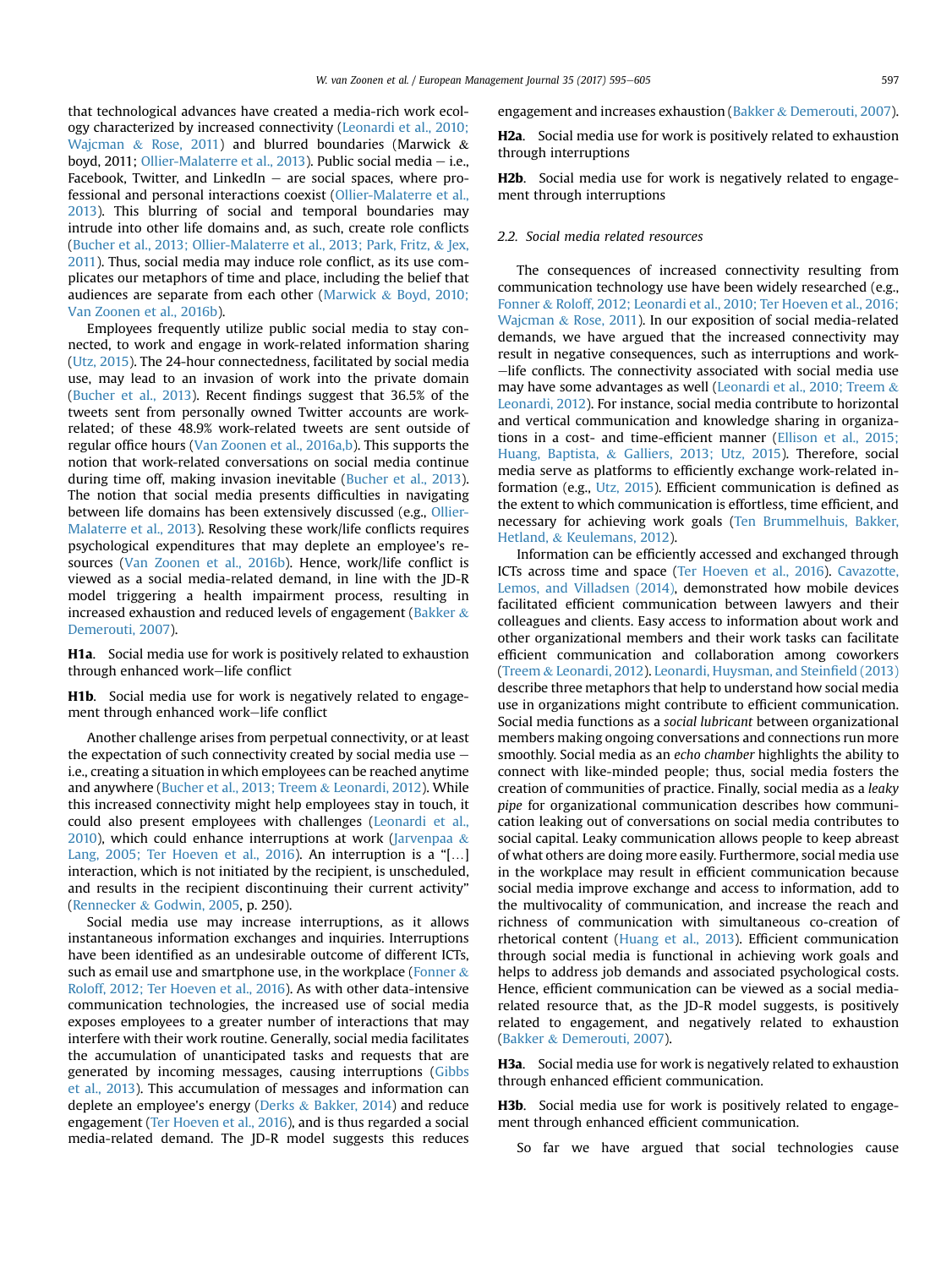that technological advances have created a media-rich work ecology characterized by increased connectivity [\(Leonardi et al., 2010;](#page-10-0) [Wajcman](#page-10-0) & [Rose, 2011](#page-10-0)) and blurred boundaries (Marwick & boyd, 2011; [Ollier-Malaterre et al., 2013](#page-10-0)). Public social media  $-$  i.e., Facebook, Twitter, and LinkedIn  $-$  are social spaces, where professional and personal interactions coexist ([Ollier-Malaterre et al.,](#page-10-0) [2013\)](#page-10-0). This blurring of social and temporal boundaries may intrude into other life domains and, as such, create role conflicts ([Bucher et al., 2013; Ollier-Malaterre et al., 2013; Park, Fritz,](#page-10-0) & [Jex,](#page-10-0) [2011](#page-10-0)). Thus, social media may induce role conflict, as its use complicates our metaphors of time and place, including the belief that audiences are separate from each other [\(Marwick](#page-10-0) & [Boyd, 2010;](#page-10-0) [Van Zoonen et al., 2016b](#page-10-0)).

Employees frequently utilize public social media to stay connected, to work and engage in work-related information sharing ([Utz, 2015\)](#page-11-0). The 24-hour connectedness, facilitated by social media use, may lead to an invasion of work into the private domain ([Bucher et al., 2013\)](#page-10-0). Recent findings suggest that 36.5% of the tweets sent from personally owned Twitter accounts are workrelated; of these 48.9% work-related tweets are sent outside of regular office hours ([Van Zoonen et al., 2016a,b\)](#page-11-0). This supports the notion that work-related conversations on social media continue during time off, making invasion inevitable ([Bucher et al., 2013\)](#page-10-0). The notion that social media presents difficulties in navigating between life domains has been extensively discussed (e.g., [Ollier-](#page-10-0)[Malaterre et al., 2013\)](#page-10-0). Resolving these work/life conflicts requires psychological expenditures that may deplete an employee's resources ([Van Zoonen et al., 2016b](#page-11-0)). Hence, work/life conflict is viewed as a social media-related demand, in line with the JD-R model triggering a health impairment process, resulting in increased exhaustion and reduced levels of engagement ([Bakker](#page-10-0)  $\&$ [Demerouti, 2007](#page-10-0)).

H1a. Social media use for work is positively related to exhaustion through enhanced work-life conflict

H1b. Social media use for work is negatively related to engagement through enhanced work-life conflict

Another challenge arises from perpetual connectivity, or at least the expectation of such connectivity created by social media use  $$ i.e., creating a situation in which employees can be reached anytime and anywhere [\(Bucher et al., 2013; Treem](#page-10-0) & [Leonardi, 2012\)](#page-10-0). While this increased connectivity might help employees stay in touch, it could also present employees with challenges ([Leonardi et al.,](#page-10-0) [2010\)](#page-10-0), which could enhance interruptions at work ([Jarvenpaa](#page-10-0)  $\&$ [Lang, 2005; Ter Hoeven et al., 2016](#page-10-0)). An interruption is a "[...] interaction, which is not initiated by the recipient, is unscheduled, and results in the recipient discontinuing their current activity" ([Rennecker](#page-11-0) & [Godwin, 2005,](#page-11-0) p. 250).

Social media use may increase interruptions, as it allows instantaneous information exchanges and inquiries. Interruptions have been identified as an undesirable outcome of different ICTs, such as email use and smartphone use, in the workplace ([Fonner](#page-10-0)  $\&$ [Roloff, 2012; Ter Hoeven et al., 2016](#page-10-0)). As with other data-intensive communication technologies, the increased use of social media exposes employees to a greater number of interactions that may interfere with their work routine. Generally, social media facilitates the accumulation of unanticipated tasks and requests that are generated by incoming messages, causing interruptions [\(Gibbs](#page-10-0) [et al., 2013\)](#page-10-0). This accumulation of messages and information can deplete an employee's energy ([Derks](#page-10-0) & [Bakker, 2014](#page-10-0)) and reduce engagement [\(Ter Hoeven et al., 2016\)](#page-11-0), and is thus regarded a social media-related demand. The JD-R model suggests this reduces engagement and increases exhaustion ([Bakker](#page-10-0) & [Demerouti, 2007\)](#page-10-0).

H2a. Social media use for work is positively related to exhaustion through interruptions

H2b. Social media use for work is negatively related to engagement through interruptions

## 2.2. Social media related resources

The consequences of increased connectivity resulting from communication technology use have been widely researched (e.g., [Fonner](#page-10-0) & [Roloff, 2012; Leonardi et al., 2010; Ter Hoeven et al., 2016;](#page-10-0) [Wajcman](#page-10-0) & [Rose, 2011](#page-10-0)). In our exposition of social media-related demands, we have argued that the increased connectivity may result in negative consequences, such as interruptions and work- $-$ life conflicts. The connectivity associated with social media use may have some advantages as well ([Leonardi et al., 2010; Treem](#page-10-0) & [Leonardi, 2012\)](#page-10-0). For instance, social media contribute to horizontal and vertical communication and knowledge sharing in organizations in a cost- and time-efficient manner ([Ellison et al., 2015;](#page-10-0) [Huang, Baptista,](#page-10-0) & [Galliers, 2013; Utz, 2015\)](#page-10-0). Therefore, social media serve as platforms to efficiently exchange work-related information (e.g., [Utz, 2015](#page-11-0)). Efficient communication is defined as the extent to which communication is effortless, time efficient, and necessary for achieving work goals ([Ten Brummelhuis, Bakker,](#page-11-0) [Hetland,](#page-11-0) & [Keulemans, 2012](#page-11-0)).

Information can be efficiently accessed and exchanged through ICTs across time and space [\(Ter Hoeven et al., 2016\)](#page-11-0). [Cavazotte,](#page-10-0) [Lemos, and Villadsen \(2014\)](#page-10-0), demonstrated how mobile devices facilitated efficient communication between lawyers and their colleagues and clients. Easy access to information about work and other organizational members and their work tasks can facilitate efficient communication and collaboration among coworkers ([Treem](#page-11-0) & [Leonardi, 2012\)](#page-11-0). [Leonardi, Huysman, and Stein](#page-10-0)field (2013) describe three metaphors that help to understand how social media use in organizations might contribute to efficient communication. Social media functions as a social lubricant between organizational members making ongoing conversations and connections run more smoothly. Social media as an echo chamber highlights the ability to connect with like-minded people; thus, social media fosters the creation of communities of practice. Finally, social media as a leaky pipe for organizational communication describes how communication leaking out of conversations on social media contributes to social capital. Leaky communication allows people to keep abreast of what others are doing more easily. Furthermore, social media use in the workplace may result in efficient communication because social media improve exchange and access to information, add to the multivocality of communication, and increase the reach and richness of communication with simultaneous co-creation of rhetorical content [\(Huang et al., 2013\)](#page-10-0). Efficient communication through social media is functional in achieving work goals and helps to address job demands and associated psychological costs. Hence, efficient communication can be viewed as a social mediarelated resource that, as the JD-R model suggests, is positively related to engagement, and negatively related to exhaustion ([Bakker](#page-10-0) & [Demerouti, 2007\)](#page-10-0).

H3a. Social media use for work is negatively related to exhaustion through enhanced efficient communication.

H3b. Social media use for work is positively related to engagement through enhanced efficient communication.

So far we have argued that social technologies cause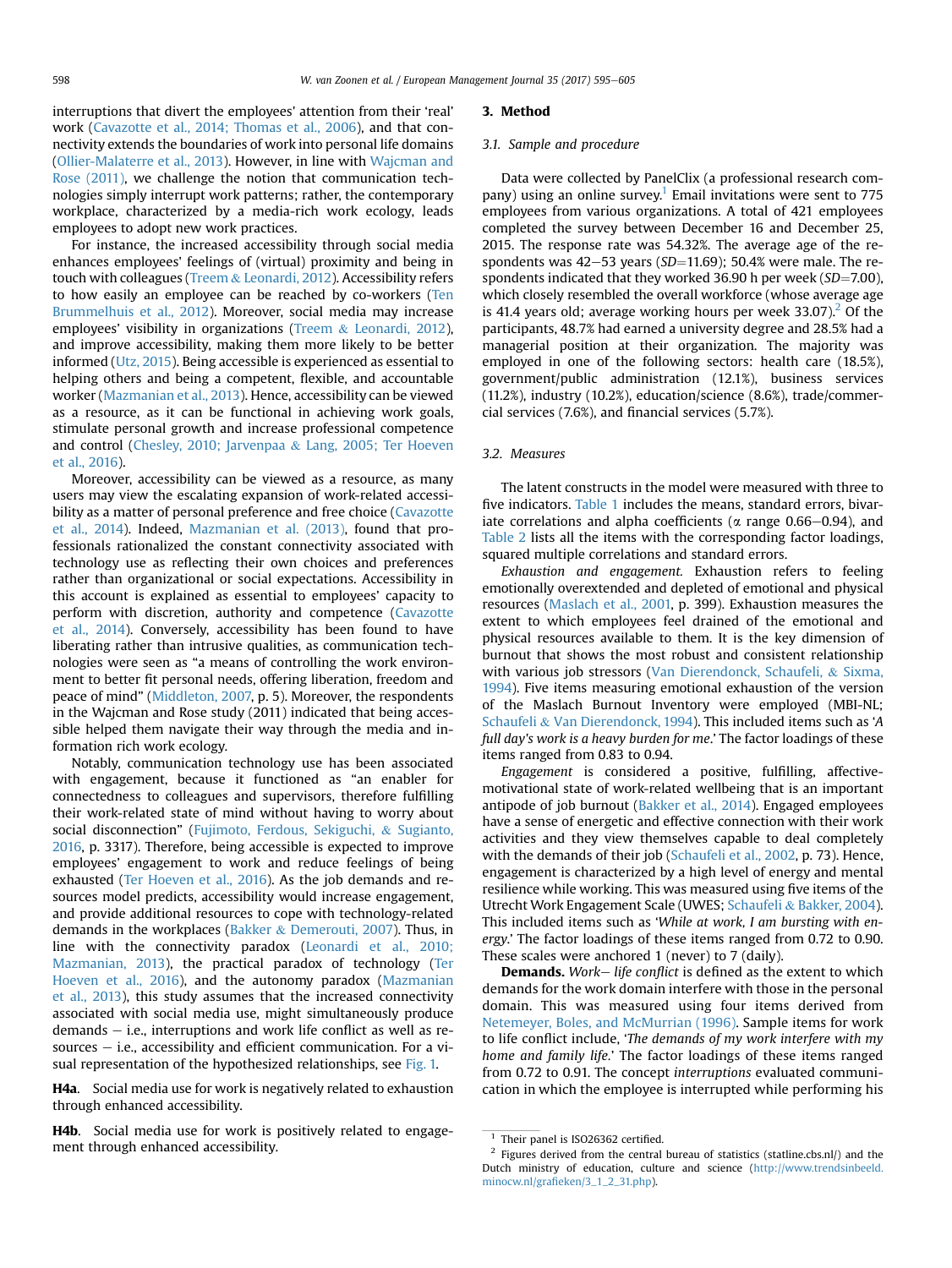interruptions that divert the employees' attention from their 'real' work ([Cavazotte et al., 2014; Thomas et al., 2006\)](#page-10-0), and that connectivity extends the boundaries of work into personal life domains ([Ollier-Malaterre et al., 2013\)](#page-10-0). However, in line with [Wajcman and](#page-11-0) [Rose \(2011\),](#page-11-0) we challenge the notion that communication technologies simply interrupt work patterns; rather, the contemporary workplace, characterized by a media-rich work ecology, leads employees to adopt new work practices.

For instance, the increased accessibility through social media enhances employees' feelings of (virtual) proximity and being in touch with colleagues [\(Treem](#page-11-0) & [Leonardi, 2012](#page-11-0)). Accessibility refers to how easily an employee can be reached by co-workers [\(Ten](#page-11-0) [Brummelhuis et al., 2012\)](#page-11-0). Moreover, social media may increase employees' visibility in organizations [\(Treem](#page-11-0) & [Leonardi, 2012\)](#page-11-0), and improve accessibility, making them more likely to be better informed ([Utz, 2015](#page-11-0)). Being accessible is experienced as essential to helping others and being a competent, flexible, and accountable worker ([Mazmanian et al., 2013](#page-10-0)). Hence, accessibility can be viewed as a resource, as it can be functional in achieving work goals, stimulate personal growth and increase professional competence and control ([Chesley, 2010; Jarvenpaa](#page-10-0) & [Lang, 2005; Ter Hoeven](#page-10-0) [et al., 2016\)](#page-10-0).

Moreover, accessibility can be viewed as a resource, as many users may view the escalating expansion of work-related accessibility as a matter of personal preference and free choice [\(Cavazotte](#page-10-0) [et al., 2014](#page-10-0)). Indeed, [Mazmanian et al. \(2013\),](#page-10-0) found that professionals rationalized the constant connectivity associated with technology use as reflecting their own choices and preferences rather than organizational or social expectations. Accessibility in this account is explained as essential to employees' capacity to perform with discretion, authority and competence [\(Cavazotte](#page-10-0) [et al., 2014](#page-10-0)). Conversely, accessibility has been found to have liberating rather than intrusive qualities, as communication technologies were seen as "a means of controlling the work environment to better fit personal needs, offering liberation, freedom and peace of mind" [\(Middleton, 2007,](#page-10-0) p. 5). Moreover, the respondents in the Wajcman and Rose study (2011) indicated that being accessible helped them navigate their way through the media and information rich work ecology.

Notably, communication technology use has been associated with engagement, because it functioned as "an enabler for connectedness to colleagues and supervisors, therefore fulfilling their work-related state of mind without having to worry about social disconnection" [\(Fujimoto, Ferdous, Sekiguchi,](#page-10-0) & [Sugianto,](#page-10-0) [2016](#page-10-0), p. 3317). Therefore, being accessible is expected to improve employees' engagement to work and reduce feelings of being exhausted ([Ter Hoeven et al., 2016\)](#page-11-0). As the job demands and resources model predicts, accessibility would increase engagement, and provide additional resources to cope with technology-related demands in the workplaces [\(Bakker](#page-10-0) & [Demerouti, 2007\)](#page-10-0). Thus, in line with the connectivity paradox [\(Leonardi et al., 2010;](#page-10-0) [Mazmanian, 2013](#page-10-0)), the practical paradox of technology [\(Ter](#page-11-0) [Hoeven et al., 2016](#page-11-0)), and the autonomy paradox [\(Mazmanian](#page-10-0) [et al., 2013](#page-10-0)), this study assumes that the increased connectivity associated with social media use, might simultaneously produce demands  $-$  i.e., interruptions and work life conflict as well as resources  $-$  i.e., accessibility and efficient communication. For a visual representation of the hypothesized relationships, see [Fig. 1.](#page-8-0)

H4a. Social media use for work is negatively related to exhaustion through enhanced accessibility.

H4b. Social media use for work is positively related to engagement through enhanced accessibility.

#### 3. Method

## 3.1. Sample and procedure

Data were collected by PanelClix (a professional research company) using an online survey.<sup>1</sup> Email invitations were sent to  $775$ employees from various organizations. A total of 421 employees completed the survey between December 16 and December 25, 2015. The response rate was 54.32%. The average age of the respondents was  $42-53$  years (SD=11.69); 50.4% were male. The respondents indicated that they worked 36.90 h per week ( $SD = 7.00$ ), which closely resembled the overall workforce (whose average age is 41.4 years old; average working hours per week  $33.07$ ).<sup>2</sup> Of the participants, 48.7% had earned a university degree and 28.5% had a managerial position at their organization. The majority was employed in one of the following sectors: health care (18.5%), government/public administration (12.1%), business services (11.2%), industry (10.2%), education/science (8.6%), trade/commercial services (7.6%), and financial services (5.7%).

## 3.2. Measures

The latent constructs in the model were measured with three to five indicators. [Table 1](#page-5-0) includes the means, standard errors, bivariate correlations and alpha coefficients ( $\alpha$  range 0.66–0.94), and [Table 2](#page-5-0) lists all the items with the corresponding factor loadings, squared multiple correlations and standard errors.

Exhaustion and engagement. Exhaustion refers to feeling emotionally overextended and depleted of emotional and physical resources ([Maslach et al., 2001,](#page-10-0) p. 399). Exhaustion measures the extent to which employees feel drained of the emotional and physical resources available to them. It is the key dimension of burnout that shows the most robust and consistent relationship with various job stressors ([Van Dierendonck, Schaufeli,](#page-11-0) & [Sixma,](#page-11-0) [1994](#page-11-0)). Five items measuring emotional exhaustion of the version of the Maslach Burnout Inventory were employed (MBI-NL; [Schaufeli](#page-11-0) & [Van Dierendonck, 1994\)](#page-11-0). This included items such as 'A full day's work is a heavy burden for me.' The factor loadings of these items ranged from 0.83 to 0.94.

Engagement is considered a positive, fulfilling, affectivemotivational state of work-related wellbeing that is an important antipode of job burnout ([Bakker et al., 2014\)](#page-10-0). Engaged employees have a sense of energetic and effective connection with their work activities and they view themselves capable to deal completely with the demands of their job ([Schaufeli et al., 2002,](#page-11-0) p. 73). Hence, engagement is characterized by a high level of energy and mental resilience while working. This was measured using five items of the Utrecht Work Engagement Scale (UWES; [Schaufeli](#page-11-0) & [Bakker, 2004\)](#page-11-0). This included items such as 'While at work, I am bursting with energy.' The factor loadings of these items ranged from 0.72 to 0.90. These scales were anchored 1 (never) to 7 (daily).

**Demands.** Work– life conflict is defined as the extent to which demands for the work domain interfere with those in the personal domain. This was measured using four items derived from [Netemeyer, Boles, and McMurrian \(1996\).](#page-10-0) Sample items for work to life conflict include, 'The demands of my work interfere with my home and family life.' The factor loadings of these items ranged from 0.72 to 0.91. The concept interruptions evaluated communication in which the employee is interrupted while performing his

 $1$  Their panel is ISO26362 certified.

<sup>&</sup>lt;sup>2</sup> Figures derived from the central bureau of statistics (statline.cbs.nl/) and the Dutch ministry of education, culture and science ([http://www.trendsinbeeld.](http://www.trendsinbeeld.minocw.nl/grafieken/3_1_2_31.php) minocw.nl/grafi[eken/3\\_1\\_2\\_31.php\)](http://www.trendsinbeeld.minocw.nl/grafieken/3_1_2_31.php).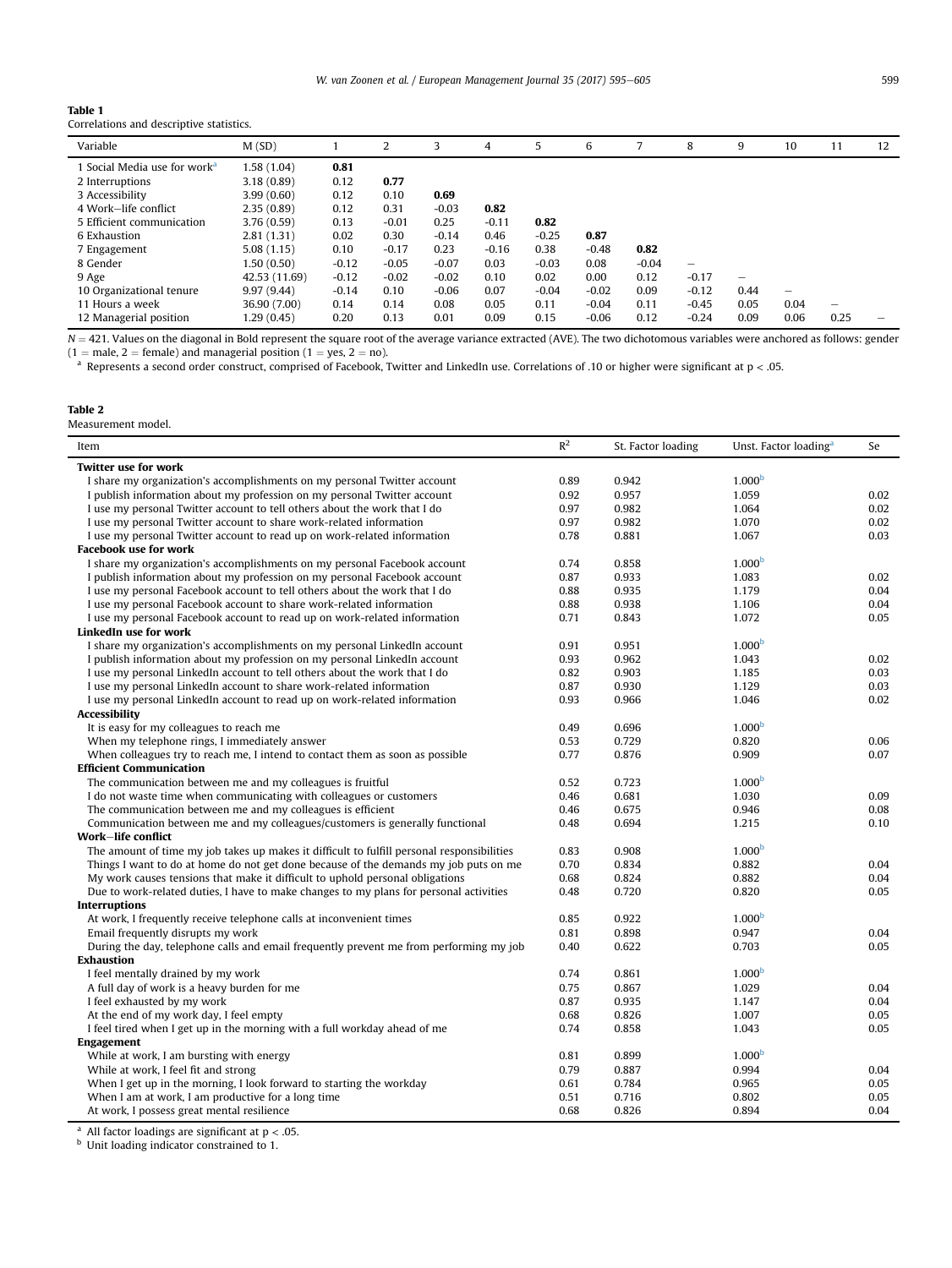<span id="page-5-0"></span>

| Table 1                                  |
|------------------------------------------|
| Correlations and descriptive statistics. |

| Variable                               | M(SD)         |         | $\overline{2}$ | 3       | 4       | 5       | 6       |         | 8               | 9    | 10                       | 11                       | 12 |
|----------------------------------------|---------------|---------|----------------|---------|---------|---------|---------|---------|-----------------|------|--------------------------|--------------------------|----|
| Social Media use for work <sup>a</sup> | 1.58 (1.04)   | 0.81    |                |         |         |         |         |         |                 |      |                          |                          |    |
| 2 Interruptions                        | 3.18(0.89)    | 0.12    | 0.77           |         |         |         |         |         |                 |      |                          |                          |    |
| 3 Accessibility                        | 3.99(0.60)    | 0.12    | 0.10           | 0.69    |         |         |         |         |                 |      |                          |                          |    |
| 4 Work-life conflict                   | 2.35(0.89)    | 0.12    | 0.31           | $-0.03$ | 0.82    |         |         |         |                 |      |                          |                          |    |
| 5 Efficient communication              | 3.76(0.59)    | 0.13    | $-0.01$        | 0.25    | $-0.11$ | 0.82    |         |         |                 |      |                          |                          |    |
| 6 Exhaustion                           | 2.81(1.31)    | 0.02    | 0.30           | $-0.14$ | 0.46    | $-0.25$ | 0.87    |         |                 |      |                          |                          |    |
| 7 Engagement                           | 5.08(1.15)    | 0.10    | $-0.17$        | 0.23    | $-0.16$ | 0.38    | $-0.48$ | 0.82    |                 |      |                          |                          |    |
| 8 Gender                               | 1.50(0.50)    | $-0.12$ | $-0.05$        | $-0.07$ | 0.03    | $-0.03$ | 0.08    | $-0.04$ | $\qquad \qquad$ |      |                          |                          |    |
| 9 Age                                  | 42.53 (11.69) | $-0.12$ | $-0.02$        | $-0.02$ | 0.10    | 0.02    | 0.00    | 0.12    | $-0.17$         |      |                          |                          |    |
| 10 Organizational tenure               | 9.97(9.44)    | $-0.14$ | 0.10           | $-0.06$ | 0.07    | $-0.04$ | $-0.02$ | 0.09    | $-0.12$         | 0.44 | $\overline{\phantom{0}}$ |                          |    |
| 11 Hours a week                        | 36.90 (7.00)  | 0.14    | 0.14           | 0.08    | 0.05    | 0.11    | $-0.04$ | 0.11    | $-0.45$         | 0.05 | 0.04                     | $\overline{\phantom{0}}$ |    |
| 12 Managerial position                 | 1.29(0.45)    | 0.20    | 0.13           | 0.01    | 0.09    | 0.15    | $-0.06$ | 0.12    | $-0.24$         | 0.09 | 0.06                     | 0.25                     |    |

 $N = 421$ . Values on the diagonal in Bold represent the square root of the average variance extracted (AVE). The two dichotomous variables were anchored as follows: gender

(1 = male, 2 = female) and managerial position (1 = yes, 2 = no).<br><sup>a</sup> Represents a second order construct, comprised of Facebook, Twitter and LinkedIn use. Correlations of .10 or higher were significant at p < .05.

## Table 2

l,

Measurement model.

| Item                                                                                       | $R^2$ | St. Factor loading | Unst. Factor loading <sup>a</sup> | Se   |
|--------------------------------------------------------------------------------------------|-------|--------------------|-----------------------------------|------|
| <b>Twitter use for work</b>                                                                |       |                    |                                   |      |
| I share my organization's accomplishments on my personal Twitter account                   | 0.89  | 0.942              | 1.000 <sup>b</sup>                |      |
| I publish information about my profession on my personal Twitter account                   | 0.92  | 0.957              | 1.059                             | 0.02 |
| I use my personal Twitter account to tell others about the work that I do                  | 0.97  | 0.982              | 1.064                             | 0.02 |
| I use my personal Twitter account to share work-related information                        | 0.97  | 0.982              | 1.070                             | 0.02 |
| I use my personal Twitter account to read up on work-related information                   | 0.78  | 0.881              | 1.067                             | 0.03 |
| <b>Facebook use for work</b>                                                               |       |                    |                                   |      |
| I share my organization's accomplishments on my personal Facebook account                  | 0.74  | 0.858              | 1.000 <sup>b</sup>                |      |
| I publish information about my profession on my personal Facebook account                  | 0.87  | 0.933              | 1.083                             | 0.02 |
| I use my personal Facebook account to tell others about the work that I do                 | 0.88  | 0.935              | 1.179                             | 0.04 |
| I use my personal Facebook account to share work-related information                       | 0.88  | 0.938              | 1.106                             | 0.04 |
| I use my personal Facebook account to read up on work-related information                  | 0.71  | 0.843              | 1.072                             | 0.05 |
| LinkedIn use for work                                                                      |       |                    |                                   |      |
| I share my organization's accomplishments on my personal LinkedIn account                  | 0.91  | 0.951              | 1.000 <sup>b</sup>                |      |
| I publish information about my profession on my personal LinkedIn account                  | 0.93  | 0.962              | 1.043                             | 0.02 |
| I use my personal LinkedIn account to tell others about the work that I do                 | 0.82  | 0.903              | 1.185                             | 0.03 |
| I use my personal LinkedIn account to share work-related information                       | 0.87  | 0.930              | 1.129                             | 0.03 |
| I use my personal LinkedIn account to read up on work-related information                  | 0.93  | 0.966              | 1.046                             | 0.02 |
| <b>Accessibility</b>                                                                       |       |                    |                                   |      |
| It is easy for my colleagues to reach me                                                   | 0.49  | 0.696              | 1.000 <sup>b</sup>                |      |
| When my telephone rings, I immediately answer                                              | 0.53  | 0.729              | 0.820                             | 0.06 |
| When colleagues try to reach me, I intend to contact them as soon as possible              | 0.77  | 0.876              | 0.909                             | 0.07 |
| <b>Efficient Communication</b>                                                             |       |                    |                                   |      |
| The communication between me and my colleagues is fruitful                                 | 0.52  | 0.723              | 1.000 <sup>b</sup>                |      |
| I do not waste time when communicating with colleagues or customers                        | 0.46  | 0.681              | 1.030                             | 0.09 |
| The communication between me and my colleagues is efficient                                | 0.46  | 0.675              | 0.946                             | 0.08 |
| Communication between me and my colleagues/customers is generally functional               | 0.48  | 0.694              | 1.215                             | 0.10 |
| Work-life conflict                                                                         |       |                    |                                   |      |
| The amount of time my job takes up makes it difficult to fulfill personal responsibilities | 0.83  | 0.908              | 1.000 <sup>b</sup>                |      |
| Things I want to do at home do not get done because of the demands my job puts on me       | 0.70  | 0.834              | 0.882                             | 0.04 |
| My work causes tensions that make it difficult to uphold personal obligations              | 0.68  | 0.824              | 0.882                             | 0.04 |
| Due to work-related duties, I have to make changes to my plans for personal activities     | 0.48  | 0.720              | 0.820                             | 0.05 |
| Interruptions                                                                              |       |                    |                                   |      |
| At work, I frequently receive telephone calls at inconvenient times                        | 0.85  | 0.922              | 1.000 <sup>b</sup>                |      |
| Email frequently disrupts my work                                                          | 0.81  | 0.898              | 0.947                             | 0.04 |
| During the day, telephone calls and email frequently prevent me from performing my job     | 0.40  | 0.622              | 0.703                             | 0.05 |
| <b>Exhaustion</b>                                                                          |       |                    |                                   |      |
| I feel mentally drained by my work                                                         | 0.74  | 0.861              | 1.000 <sup>b</sup>                |      |
| A full day of work is a heavy burden for me                                                | 0.75  | 0.867              | 1.029                             | 0.04 |
| I feel exhausted by my work                                                                | 0.87  | 0.935              | 1.147                             | 0.04 |
| At the end of my work day, I feel empty                                                    | 0.68  | 0.826              | 1.007                             | 0.05 |
| I feel tired when I get up in the morning with a full workday ahead of me                  | 0.74  | 0.858              | 1.043                             | 0.05 |
| Engagement                                                                                 |       |                    |                                   |      |
| While at work, I am bursting with energy                                                   | 0.81  | 0.899              | 1.000 <sup>b</sup>                |      |
| While at work, I feel fit and strong                                                       | 0.79  | 0.887              | 0.994                             | 0.04 |
| When I get up in the morning, I look forward to starting the workday                       | 0.61  | 0.784              | 0.965                             | 0.05 |
| When I am at work, I am productive for a long time                                         | 0.51  | 0.716              | 0.802                             | 0.05 |
| At work, I possess great mental resilience                                                 | 0.68  | 0.826              | 0.894                             | 0.04 |

<sup>a</sup> All factor loadings are significant at  $p < .05$ .

<sup>b</sup> Unit loading indicator constrained to 1.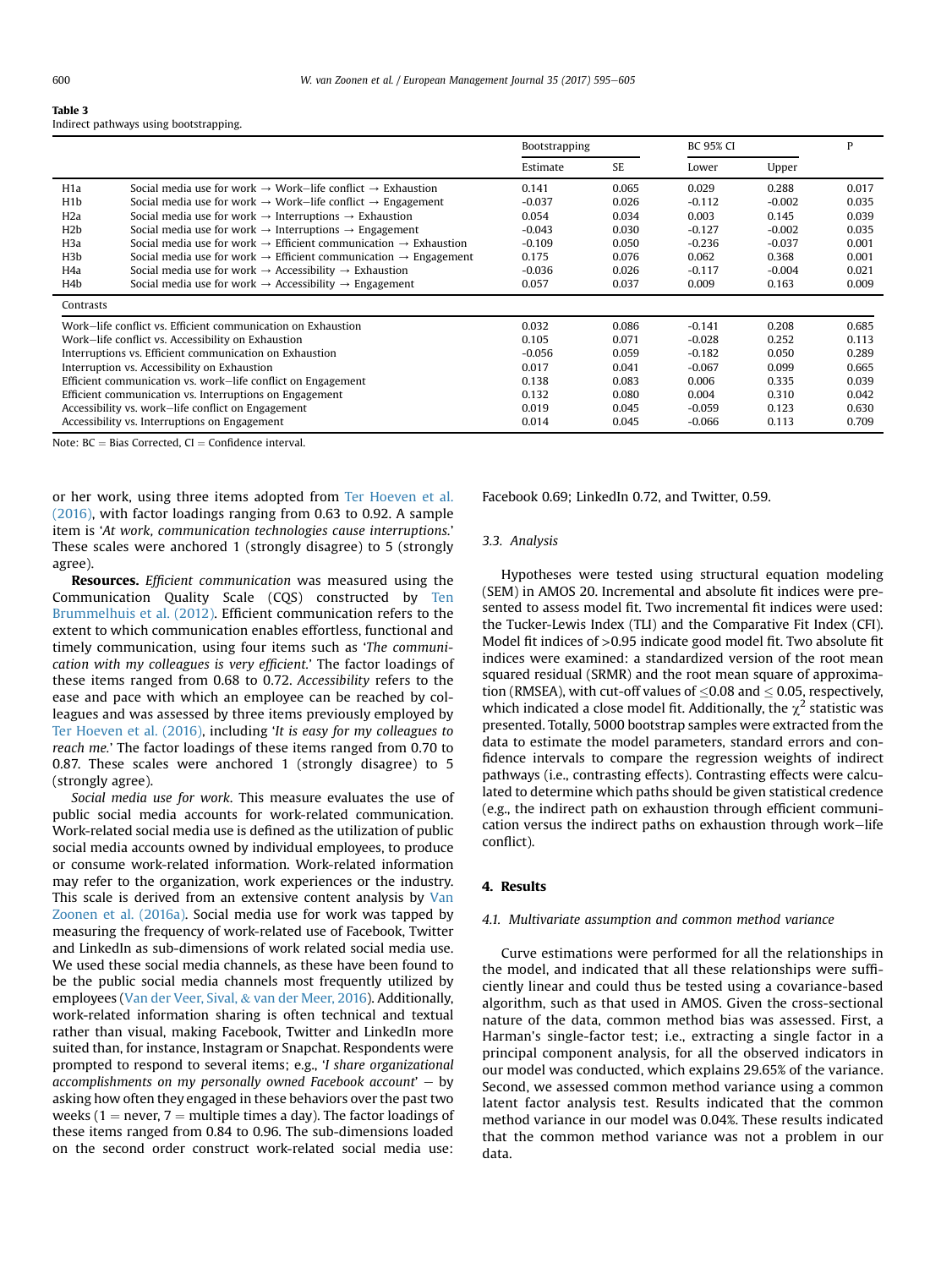<span id="page-6-0"></span>

| Table 3                                |
|----------------------------------------|
| Indirect pathways using bootstrapping. |

|                                                              |                                                                                          | <b>Bootstrapping</b> |           | <b>BC 95% CI</b> |          | P     |
|--------------------------------------------------------------|------------------------------------------------------------------------------------------|----------------------|-----------|------------------|----------|-------|
|                                                              |                                                                                          | Estimate             | <b>SE</b> | Lower            | Upper    |       |
| H <sub>1</sub> a                                             | Social media use for work $\rightarrow$ Work-life conflict $\rightarrow$ Exhaustion      | 0.141                | 0.065     | 0.029            | 0.288    | 0.017 |
| H1b                                                          | Social media use for work $\rightarrow$ Work-life conflict $\rightarrow$ Engagement      | $-0.037$             | 0.026     | $-0.112$         | $-0.002$ | 0.035 |
| H2a                                                          | Social media use for work $\rightarrow$ Interruptions $\rightarrow$ Exhaustion           | 0.054                | 0.034     | 0.003            | 0.145    | 0.039 |
| H2b                                                          | Social media use for work $\rightarrow$ Interruptions $\rightarrow$ Engagement           | $-0.043$             | 0.030     | $-0.127$         | $-0.002$ | 0.035 |
| H <sub>3</sub> a                                             | Social media use for work $\rightarrow$ Efficient communication $\rightarrow$ Exhaustion | $-0.109$             | 0.050     | $-0.236$         | $-0.037$ | 0.001 |
| H <sub>3</sub> b                                             | Social media use for work $\rightarrow$ Efficient communication $\rightarrow$ Engagement | 0.175                | 0.076     | 0.062            | 0.368    | 0.001 |
| H4a                                                          | Social media use for work $\rightarrow$ Accessibility $\rightarrow$ Exhaustion           | $-0.036$             | 0.026     | $-0.117$         | $-0.004$ | 0.021 |
| H <sub>4</sub> b                                             | Social media use for work $\rightarrow$ Accessibility $\rightarrow$ Engagement           | 0.057                | 0.037     | 0.009            | 0.163    | 0.009 |
| Contrasts                                                    |                                                                                          |                      |           |                  |          |       |
| Work-life conflict vs. Efficient communication on Exhaustion |                                                                                          | 0.032                | 0.086     | $-0.141$         | 0.208    | 0.685 |
| Work-life conflict vs. Accessibility on Exhaustion           |                                                                                          | 0.105                | 0.071     | $-0.028$         | 0.252    | 0.113 |
| Interruptions vs. Efficient communication on Exhaustion      |                                                                                          | $-0.056$             | 0.059     | $-0.182$         | 0.050    | 0.289 |
| Interruption vs. Accessibility on Exhaustion                 |                                                                                          | 0.017                | 0.041     | $-0.067$         | 0.099    | 0.665 |
| Efficient communication vs. work-life conflict on Engagement |                                                                                          | 0.138                | 0.083     | 0.006            | 0.335    | 0.039 |
|                                                              | Efficient communication vs. Interruptions on Engagement                                  | 0.132                | 0.080     | 0.004            | 0.310    | 0.042 |
|                                                              | Accessibility vs. work-life conflict on Engagement                                       | 0.019                | 0.045     | $-0.059$         | 0.123    | 0.630 |
|                                                              | Accessibility vs. Interruptions on Engagement                                            | 0.014                | 0.045     | $-0.066$         | 0.113    | 0.709 |

Note:  $BC = Bias$  Corrected,  $CI = Confidence$  interval.

or her work, using three items adopted from [Ter Hoeven et al.](#page-11-0) [\(2016\),](#page-11-0) with factor loadings ranging from 0.63 to 0.92. A sample item is 'At work, communication technologies cause interruptions.' These scales were anchored 1 (strongly disagree) to 5 (strongly agree).

Resources. Efficient communication was measured using the Communication Quality Scale (CQS) constructed by [Ten](#page-11-0) [Brummelhuis et al. \(2012\)](#page-11-0). Efficient communication refers to the extent to which communication enables effortless, functional and timely communication, using four items such as 'The communication with my colleagues is very efficient.' The factor loadings of these items ranged from 0.68 to 0.72. Accessibility refers to the ease and pace with which an employee can be reached by colleagues and was assessed by three items previously employed by [Ter Hoeven et al. \(2016\)](#page-11-0), including 'It is easy for my colleagues to reach me.' The factor loadings of these items ranged from 0.70 to 0.87. These scales were anchored 1 (strongly disagree) to 5 (strongly agree).

Social media use for work. This measure evaluates the use of public social media accounts for work-related communication. Work-related social media use is defined as the utilization of public social media accounts owned by individual employees, to produce or consume work-related information. Work-related information may refer to the organization, work experiences or the industry. This scale is derived from an extensive content analysis by [Van](#page-11-0) [Zoonen et al. \(2016a\).](#page-11-0) Social media use for work was tapped by measuring the frequency of work-related use of Facebook, Twitter and LinkedIn as sub-dimensions of work related social media use. We used these social media channels, as these have been found to be the public social media channels most frequently utilized by employees ([Van der Veer, Sival,](#page-11-0) & [van der Meer, 2016](#page-11-0)). Additionally, work-related information sharing is often technical and textual rather than visual, making Facebook, Twitter and LinkedIn more suited than, for instance, Instagram or Snapchat. Respondents were prompted to respond to several items; e.g., 'I share organizational accomplishments on my personally owned Facebook account'  $-$  by asking how often they engaged in these behaviors over the past two weeks (1 = never, 7 = multiple times a day). The factor loadings of these items ranged from 0.84 to 0.96. The sub-dimensions loaded on the second order construct work-related social media use:

Facebook 0.69; LinkedIn 0.72, and Twitter, 0.59.

## 3.3. Analysis

Hypotheses were tested using structural equation modeling (SEM) in AMOS 20. Incremental and absolute fit indices were presented to assess model fit. Two incremental fit indices were used: the Tucker-Lewis Index (TLI) and the Comparative Fit Index (CFI). Model fit indices of >0.95 indicate good model fit. Two absolute fit indices were examined: a standardized version of the root mean squared residual (SRMR) and the root mean square of approximation (RMSEA), with cut-off values of  $\leq$ 0.08 and  $\leq$  0.05, respectively, which indicated a close model fit. Additionally, the  $\chi^2$  statistic was presented. Totally, 5000 bootstrap samples were extracted from the data to estimate the model parameters, standard errors and confidence intervals to compare the regression weights of indirect pathways (i.e., contrasting effects). Contrasting effects were calculated to determine which paths should be given statistical credence (e.g., the indirect path on exhaustion through efficient communication versus the indirect paths on exhaustion through work-life conflict).

#### 4. Results

#### 4.1. Multivariate assumption and common method variance

Curve estimations were performed for all the relationships in the model, and indicated that all these relationships were sufficiently linear and could thus be tested using a covariance-based algorithm, such as that used in AMOS. Given the cross-sectional nature of the data, common method bias was assessed. First, a Harman's single-factor test; i.e., extracting a single factor in a principal component analysis, for all the observed indicators in our model was conducted, which explains 29.65% of the variance. Second, we assessed common method variance using a common latent factor analysis test. Results indicated that the common method variance in our model was 0.04%. These results indicated that the common method variance was not a problem in our data.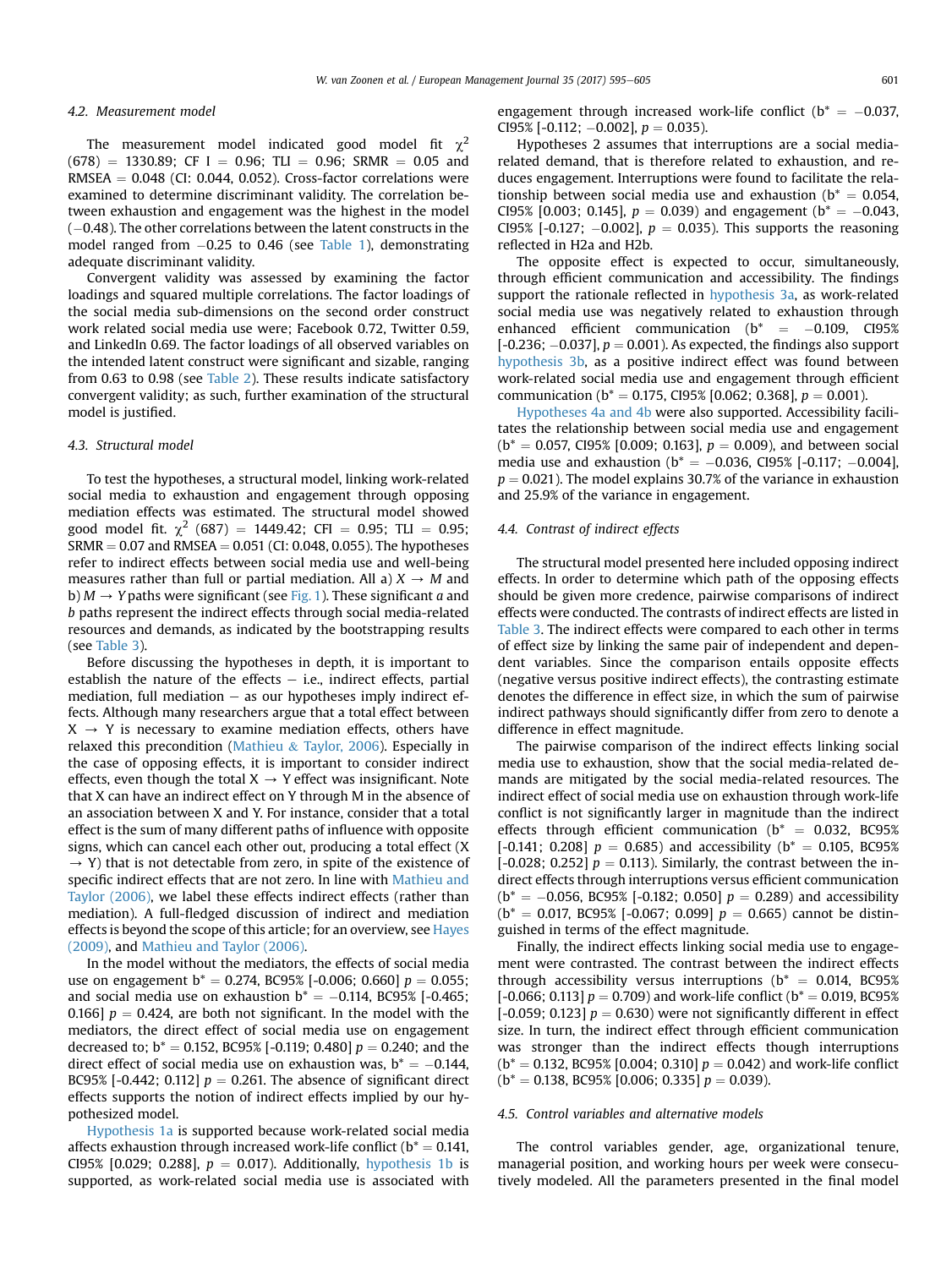#### 4.2. Measurement model

The measurement model indicated good model fit  $\chi^2$  $(678)$  = 1330.89; CF I = 0.96; TLI = 0.96; SRMR = 0.05 and RMSEA  $= 0.048$  (CI: 0.044, 0.052). Cross-factor correlations were examined to determine discriminant validity. The correlation between exhaustion and engagement was the highest in the model  $(-0.48)$ . The other correlations between the latent constructs in the model ranged from  $-0.25$  to 0.46 (see [Table 1](#page-5-0)), demonstrating adequate discriminant validity.

Convergent validity was assessed by examining the factor loadings and squared multiple correlations. The factor loadings of the social media sub-dimensions on the second order construct work related social media use were; Facebook 0.72, Twitter 0.59, and LinkedIn 0.69. The factor loadings of all observed variables on the intended latent construct were significant and sizable, ranging from 0.63 to 0.98 (see [Table 2](#page-5-0)). These results indicate satisfactory convergent validity; as such, further examination of the structural model is justified.

#### 4.3. Structural model

To test the hypotheses, a structural model, linking work-related social media to exhaustion and engagement through opposing mediation effects was estimated. The structural model showed good model fit.  $\chi^2$  (687) = 1449.42; CFI = 0.95; TLI = 0.95;  $SRMR = 0.07$  and  $RMSEA = 0.051$  (CI: 0.048, 0.055). The hypotheses refer to indirect effects between social media use and well-being measures rather than full or partial mediation. All a)  $X \rightarrow M$  and b)  $M \rightarrow Y$  paths were significant (see [Fig. 1](#page-8-0)). These significant a and b paths represent the indirect effects through social media-related resources and demands, as indicated by the bootstrapping results (see [Table 3](#page-6-0)).

Before discussing the hypotheses in depth, it is important to establish the nature of the effects  $-$  i.e., indirect effects, partial mediation, full mediation  $-$  as our hypotheses imply indirect effects. Although many researchers argue that a total effect between  $X \rightarrow Y$  is necessary to examine mediation effects, others have relaxed this precondition ([Mathieu](#page-10-0) & [Taylor, 2006](#page-10-0)). Especially in the case of opposing effects, it is important to consider indirect effects, even though the total  $X \rightarrow Y$  effect was insignificant. Note that X can have an indirect effect on Y through M in the absence of an association between X and Y. For instance, consider that a total effect is the sum of many different paths of influence with opposite signs, which can cancel each other out, producing a total effect (X  $\rightarrow$  Y) that is not detectable from zero, in spite of the existence of specific indirect effects that are not zero. In line with [Mathieu and](#page-10-0) [Taylor \(2006\)](#page-10-0), we label these effects indirect effects (rather than mediation). A full-fledged discussion of indirect and mediation effects is beyond the scope of this article; for an overview, see [Hayes](#page-10-0) [\(2009\),](#page-10-0) and [Mathieu and Taylor \(2006\)](#page-10-0).

In the model without the mediators, the effects of social media use on engagement  $b^* = 0.274$ , BC95% [-0.006; 0.660]  $p = 0.055$ ; and social media use on exhaustion  $b^* = -0.114$ , BC95% [-0.465; 0.166]  $p = 0.424$ , are both not significant. In the model with the mediators, the direct effect of social media use on engagement decreased to;  $b^* = 0.152$ , BC95% [-0.119; 0.480]  $p = 0.240$ ; and the direct effect of social media use on exhaustion was,  $b^* = -0.144$ , BC95%  $[-0.442; 0.112]$   $p = 0.261$ . The absence of significant direct effects supports the notion of indirect effects implied by our hypothesized model.

Hypothesis 1a is supported because work-related social media affects exhaustion through increased work-life conflict ( $b^* = 0.141$ , CI95% [0.029; 0.288],  $p = 0.017$ ). Additionally, hypothesis 1b is supported, as work-related social media use is associated with engagement through increased work-life conflict ( $b^* = -0.037$ , CI95%  $[-0.112; -0.002]$ ,  $p = 0.035$ ).

Hypotheses 2 assumes that interruptions are a social mediarelated demand, that is therefore related to exhaustion, and reduces engagement. Interruptions were found to facilitate the relationship between social media use and exhaustion ( $b^* = 0.054$ , CI95% [0.003; 0.145],  $p = 0.039$  and engagement (b\* = -0.043, CI95% [-0.127; -0.002],  $p = 0.035$ ). This supports the reasoning reflected in H2a and H2b.

The opposite effect is expected to occur, simultaneously, through efficient communication and accessibility. The findings support the rationale reflected in hypothesis 3a, as work-related social media use was negatively related to exhaustion through enhanced efficient communication  $(b^* = -0.109, C195\%)$ [-0.236;  $-0.037$ ],  $p = 0.001$ ). As expected, the findings also support hypothesis 3b, as a positive indirect effect was found between work-related social media use and engagement through efficient communication ( $b^* = 0.175$ , CI95% [0.062; 0.368],  $p = 0.001$ ).

Hypotheses 4a and 4b were also supported. Accessibility facilitates the relationship between social media use and engagement  $(b^* = 0.057, C195\%$  [0.009; 0.163],  $p = 0.009$ ), and between social media use and exhaustion ( $b^* = -0.036$ , CI95% [-0.117; -0.004],  $p = 0.021$ ). The model explains 30.7% of the variance in exhaustion and 25.9% of the variance in engagement.

## 4.4. Contrast of indirect effects

The structural model presented here included opposing indirect effects. In order to determine which path of the opposing effects should be given more credence, pairwise comparisons of indirect effects were conducted. The contrasts of indirect effects are listed in [Table 3](#page-6-0). The indirect effects were compared to each other in terms of effect size by linking the same pair of independent and dependent variables. Since the comparison entails opposite effects (negative versus positive indirect effects), the contrasting estimate denotes the difference in effect size, in which the sum of pairwise indirect pathways should significantly differ from zero to denote a difference in effect magnitude.

The pairwise comparison of the indirect effects linking social media use to exhaustion, show that the social media-related demands are mitigated by the social media-related resources. The indirect effect of social media use on exhaustion through work-life conflict is not significantly larger in magnitude than the indirect effects through efficient communication ( $b^* = 0.032$ , BC95% [-0.141; 0.208]  $p = 0.685$ ) and accessibility (b\* = 0.105, BC95% [-0.028; 0.252]  $p = 0.113$ ). Similarly, the contrast between the indirect effects through interruptions versus efficient communication  $(b^* = -0.056, BC95\%$  [-0.182; 0.050]  $p = 0.289$ ) and accessibility  $(b^* = 0.017, BC95\% [-0.067; 0.099] p = 0.665)$  cannot be distinguished in terms of the effect magnitude.

Finally, the indirect effects linking social media use to engagement were contrasted. The contrast between the indirect effects through accessibility versus interruptions ( $b^* = 0.014$ , BC95% [-0.066; 0.113]  $p = 0.709$  and work-life conflict (b\* = 0.019, BC95% [-0.059; 0.123]  $p = 0.630$ ) were not significantly different in effect size. In turn, the indirect effect through efficient communication was stronger than the indirect effects though interruptions  $(b^* = 0.132, BC95\% [0.004; 0.310] p = 0.042)$  and work-life conflict  $(b^* = 0.138, BC95\% [0.006; 0.335] p = 0.039).$ 

### 4.5. Control variables and alternative models

The control variables gender, age, organizational tenure, managerial position, and working hours per week were consecutively modeled. All the parameters presented in the final model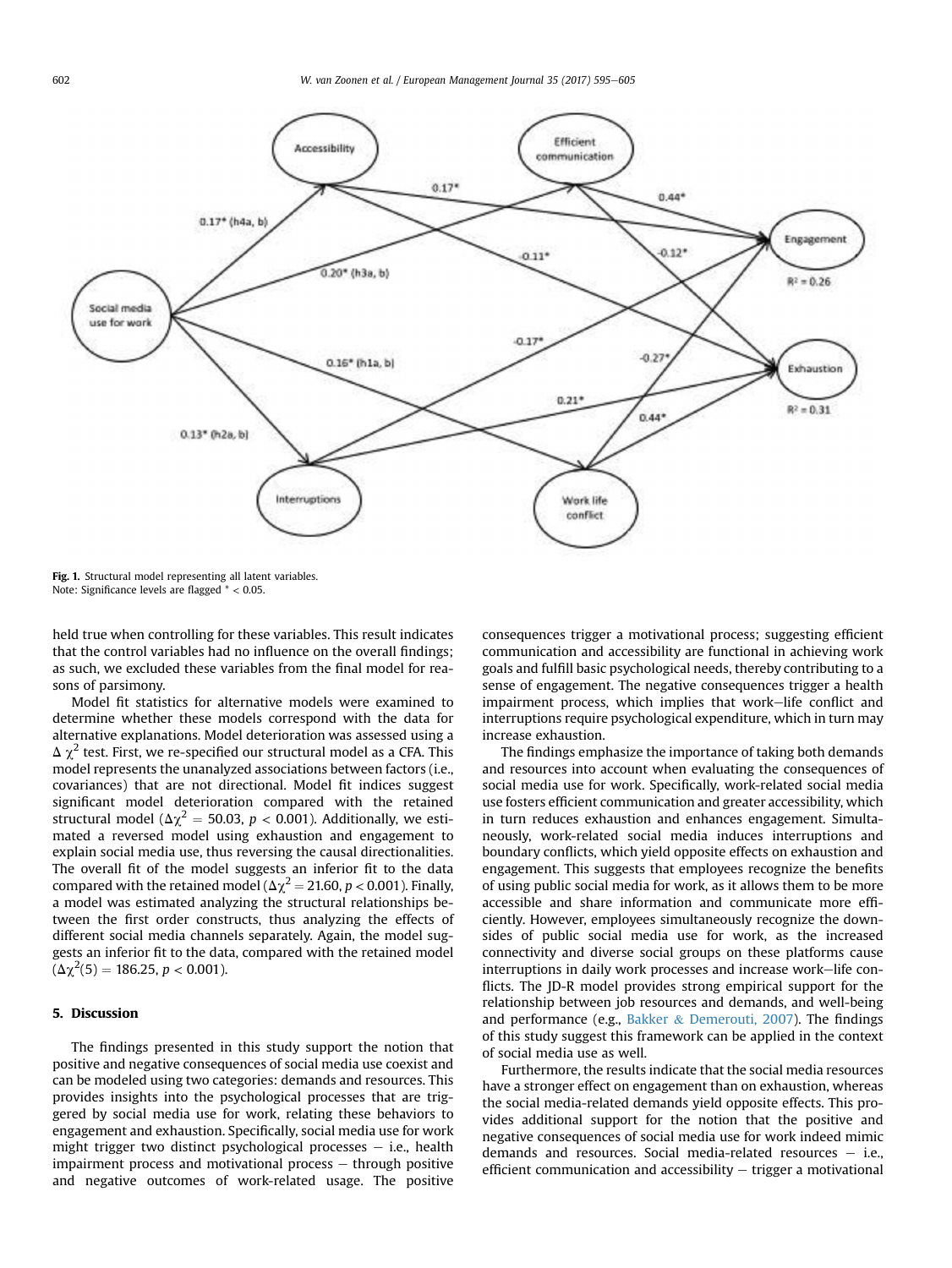<span id="page-8-0"></span>

Fig. 1. Structural model representing all latent variables. Note: Significance levels are flagged \* < 0.05.

held true when controlling for these variables. This result indicates that the control variables had no influence on the overall findings; as such, we excluded these variables from the final model for reasons of parsimony.

Model fit statistics for alternative models were examined to determine whether these models correspond with the data for alternative explanations. Model deterioration was assessed using a  $\Delta \gamma^2$  test. First, we re-specified our structural model as a CFA. This model represents the unanalyzed associations between factors (i.e., covariances) that are not directional. Model fit indices suggest significant model deterioration compared with the retained structural model ( $\Delta \chi^2$  = 50.03, p < 0.001). Additionally, we estimated a reversed model using exhaustion and engagement to explain social media use, thus reversing the causal directionalities. The overall fit of the model suggests an inferior fit to the data compared with the retained model ( $\Delta \chi^2 = 21.60$ , p < 0.001). Finally, a model was estimated analyzing the structural relationships between the first order constructs, thus analyzing the effects of different social media channels separately. Again, the model suggests an inferior fit to the data, compared with the retained model  $(\Delta \chi^2(5) = 186.25, p < 0.001).$ 

## 5. Discussion

The findings presented in this study support the notion that positive and negative consequences of social media use coexist and can be modeled using two categories: demands and resources. This provides insights into the psychological processes that are triggered by social media use for work, relating these behaviors to engagement and exhaustion. Specifically, social media use for work might trigger two distinct psychological processes  $-$  i.e., health impairment process and motivational process  $-$  through positive and negative outcomes of work-related usage. The positive

consequences trigger a motivational process; suggesting efficient communication and accessibility are functional in achieving work goals and fulfill basic psychological needs, thereby contributing to a sense of engagement. The negative consequences trigger a health impairment process, which implies that work-life conflict and interruptions require psychological expenditure, which in turn may increase exhaustion.

The findings emphasize the importance of taking both demands and resources into account when evaluating the consequences of social media use for work. Specifically, work-related social media use fosters efficient communication and greater accessibility, which in turn reduces exhaustion and enhances engagement. Simultaneously, work-related social media induces interruptions and boundary conflicts, which yield opposite effects on exhaustion and engagement. This suggests that employees recognize the benefits of using public social media for work, as it allows them to be more accessible and share information and communicate more efficiently. However, employees simultaneously recognize the downsides of public social media use for work, as the increased connectivity and diverse social groups on these platforms cause interruptions in daily work processes and increase work-life conflicts. The JD-R model provides strong empirical support for the relationship between job resources and demands, and well-being and performance (e.g., [Bakker](#page-10-0) & [Demerouti, 2007\)](#page-10-0). The findings of this study suggest this framework can be applied in the context of social media use as well.

Furthermore, the results indicate that the social media resources have a stronger effect on engagement than on exhaustion, whereas the social media-related demands yield opposite effects. This provides additional support for the notion that the positive and negative consequences of social media use for work indeed mimic demands and resources. Social media-related resources  $-$  i.e., efficient communication and accessibility  $-$  trigger a motivational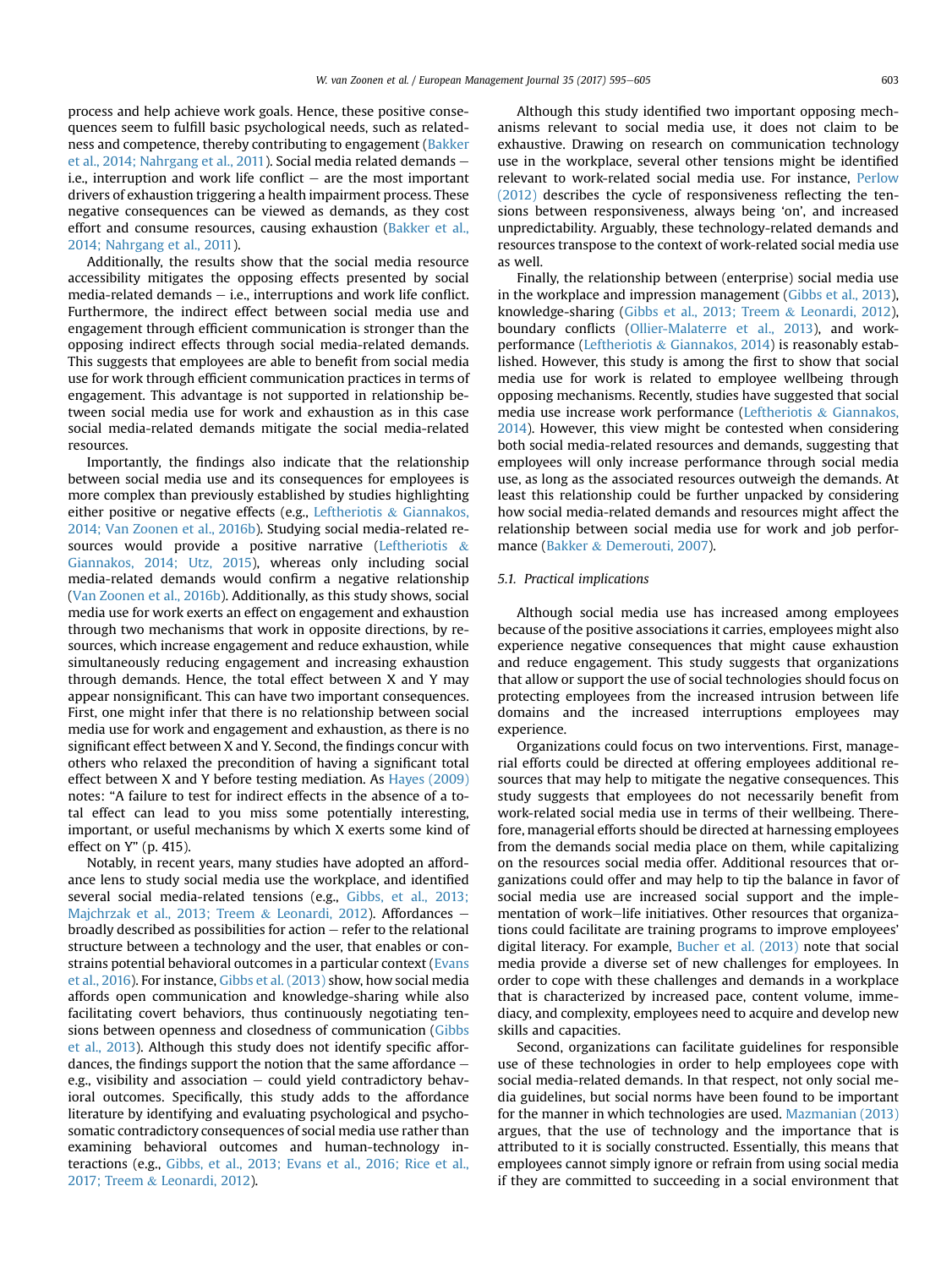process and help achieve work goals. Hence, these positive consequences seem to fulfill basic psychological needs, such as relatedness and competence, thereby contributing to engagement ([Bakker](#page-10-0) [et al., 2014; Nahrgang et al., 2011\)](#page-10-0). Social media related demands i.e., interruption and work life conflict  $-$  are the most important drivers of exhaustion triggering a health impairment process. These negative consequences can be viewed as demands, as they cost effort and consume resources, causing exhaustion ([Bakker et al.,](#page-10-0) [2014; Nahrgang et al., 2011\)](#page-10-0).

Additionally, the results show that the social media resource accessibility mitigates the opposing effects presented by social media-related demands  $-$  i.e., interruptions and work life conflict. Furthermore, the indirect effect between social media use and engagement through efficient communication is stronger than the opposing indirect effects through social media-related demands. This suggests that employees are able to benefit from social media use for work through efficient communication practices in terms of engagement. This advantage is not supported in relationship between social media use for work and exhaustion as in this case social media-related demands mitigate the social media-related resources.

Importantly, the findings also indicate that the relationship between social media use and its consequences for employees is more complex than previously established by studies highlighting either positive or negative effects (e.g., [Leftheriotis](#page-10-0) & [Giannakos,](#page-10-0) [2014; Van Zoonen et al., 2016b\)](#page-10-0). Studying social media-related resources would provide a positive narrative [\(Leftheriotis](#page-10-0) & [Giannakos, 2014; Utz, 2015\)](#page-10-0), whereas only including social media-related demands would confirm a negative relationship ([Van Zoonen et al., 2016b](#page-11-0)). Additionally, as this study shows, social media use for work exerts an effect on engagement and exhaustion through two mechanisms that work in opposite directions, by resources, which increase engagement and reduce exhaustion, while simultaneously reducing engagement and increasing exhaustion through demands. Hence, the total effect between X and Y may appear nonsignificant. This can have two important consequences. First, one might infer that there is no relationship between social media use for work and engagement and exhaustion, as there is no significant effect between X and Y. Second, the findings concur with others who relaxed the precondition of having a significant total effect between X and Y before testing mediation. As [Hayes \(2009\)](#page-10-0) notes: "A failure to test for indirect effects in the absence of a total effect can lead to you miss some potentially interesting, important, or useful mechanisms by which X exerts some kind of effect on Y" (p. 415).

Notably, in recent years, many studies have adopted an affordance lens to study social media use the workplace, and identified several social media-related tensions (e.g., [Gibbs, et al., 2013;](#page-10-0) [Majchrzak et al., 2013; Treem](#page-10-0) & [Leonardi, 2012](#page-10-0)). Affordances  $$ broadly described as possibilities for action  $-$  refer to the relational structure between a technology and the user, that enables or constrains potential behavioral outcomes in a particular context ([Evans](#page-10-0) [et al., 2016\)](#page-10-0). For instance, [Gibbs et al. \(2013\)](#page-10-0) show, how social media affords open communication and knowledge-sharing while also facilitating covert behaviors, thus continuously negotiating tensions between openness and closedness of communication [\(Gibbs](#page-10-0) [et al., 2013\)](#page-10-0). Although this study does not identify specific affordances, the findings support the notion that the same affordance  $$ e.g., visibility and association  $-$  could yield contradictory behavioral outcomes. Specifically, this study adds to the affordance literature by identifying and evaluating psychological and psychosomatic contradictory consequences of social media use rather than examining behavioral outcomes and human-technology interactions (e.g., [Gibbs, et al., 2013; Evans et al., 2016; Rice et al.,](#page-10-0) [2017; Treem](#page-10-0) & [Leonardi, 2012\)](#page-10-0).

Although this study identified two important opposing mechanisms relevant to social media use, it does not claim to be exhaustive. Drawing on research on communication technology use in the workplace, several other tensions might be identified relevant to work-related social media use. For instance, [Perlow](#page-11-0) [\(2012\)](#page-11-0) describes the cycle of responsiveness reflecting the tensions between responsiveness, always being 'on', and increased unpredictability. Arguably, these technology-related demands and resources transpose to the context of work-related social media use as well.

Finally, the relationship between (enterprise) social media use in the workplace and impression management [\(Gibbs et al., 2013\)](#page-10-0), knowledge-sharing ([Gibbs et al., 2013; Treem](#page-10-0) & [Leonardi, 2012\)](#page-10-0), boundary conflicts [\(Ollier-Malaterre et al., 2013\)](#page-10-0), and workperformance [\(Leftheriotis](#page-10-0) & [Giannakos, 2014\)](#page-10-0) is reasonably established. However, this study is among the first to show that social media use for work is related to employee wellbeing through opposing mechanisms. Recently, studies have suggested that social media use increase work performance ([Leftheriotis](#page-10-0) & [Giannakos,](#page-10-0) [2014\)](#page-10-0). However, this view might be contested when considering both social media-related resources and demands, suggesting that employees will only increase performance through social media use, as long as the associated resources outweigh the demands. At least this relationship could be further unpacked by considering how social media-related demands and resources might affect the relationship between social media use for work and job performance [\(Bakker](#page-10-0) & [Demerouti, 2007](#page-10-0)).

## 5.1. Practical implications

Although social media use has increased among employees because of the positive associations it carries, employees might also experience negative consequences that might cause exhaustion and reduce engagement. This study suggests that organizations that allow or support the use of social technologies should focus on protecting employees from the increased intrusion between life domains and the increased interruptions employees may experience.

Organizations could focus on two interventions. First, managerial efforts could be directed at offering employees additional resources that may help to mitigate the negative consequences. This study suggests that employees do not necessarily benefit from work-related social media use in terms of their wellbeing. Therefore, managerial efforts should be directed at harnessing employees from the demands social media place on them, while capitalizing on the resources social media offer. Additional resources that organizations could offer and may help to tip the balance in favor of social media use are increased social support and the implementation of work-life initiatives. Other resources that organizations could facilitate are training programs to improve employees' digital literacy. For example, [Bucher et al. \(2013\)](#page-10-0) note that social media provide a diverse set of new challenges for employees. In order to cope with these challenges and demands in a workplace that is characterized by increased pace, content volume, immediacy, and complexity, employees need to acquire and develop new skills and capacities.

Second, organizations can facilitate guidelines for responsible use of these technologies in order to help employees cope with social media-related demands. In that respect, not only social media guidelines, but social norms have been found to be important for the manner in which technologies are used. [Mazmanian \(2013\)](#page-10-0) argues, that the use of technology and the importance that is attributed to it is socially constructed. Essentially, this means that employees cannot simply ignore or refrain from using social media if they are committed to succeeding in a social environment that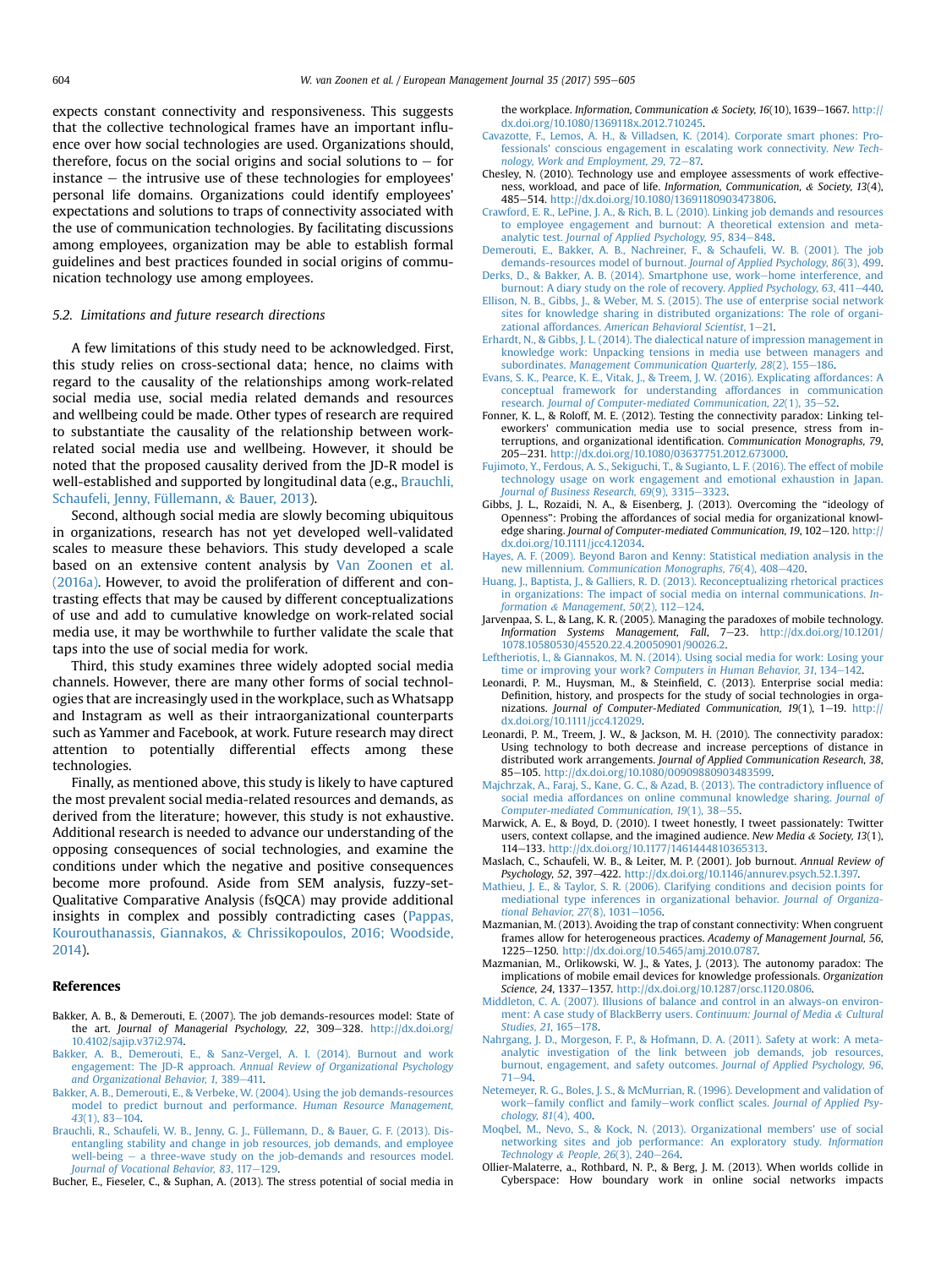<span id="page-10-0"></span>expects constant connectivity and responsiveness. This suggests that the collective technological frames have an important influence over how social technologies are used. Organizations should, therefore, focus on the social origins and social solutions to  $-$  for  $instance - the$  intrusive use of these technologies for employees' personal life domains. Organizations could identify employees' expectations and solutions to traps of connectivity associated with the use of communication technologies. By facilitating discussions among employees, organization may be able to establish formal guidelines and best practices founded in social origins of communication technology use among employees.

## 5.2. Limitations and future research directions

A few limitations of this study need to be acknowledged. First, this study relies on cross-sectional data; hence, no claims with regard to the causality of the relationships among work-related social media use, social media related demands and resources and wellbeing could be made. Other types of research are required to substantiate the causality of the relationship between workrelated social media use and wellbeing. However, it should be noted that the proposed causality derived from the JD-R model is well-established and supported by longitudinal data (e.g., Brauchli, Schaufeli, Jenny, Füllemann, & Bauer, 2013).

Second, although social media are slowly becoming ubiquitous in organizations, research has not yet developed well-validated scales to measure these behaviors. This study developed a scale based on an extensive content analysis by [Van Zoonen et al.](#page-11-0) [\(2016a\)](#page-11-0). However, to avoid the proliferation of different and contrasting effects that may be caused by different conceptualizations of use and add to cumulative knowledge on work-related social media use, it may be worthwhile to further validate the scale that taps into the use of social media for work.

Third, this study examines three widely adopted social media channels. However, there are many other forms of social technologies that are increasingly used in the workplace, such as Whatsapp and Instagram as well as their intraorganizational counterparts such as Yammer and Facebook, at work. Future research may direct attention to potentially differential effects among these technologies.

Finally, as mentioned above, this study is likely to have captured the most prevalent social media-related resources and demands, as derived from the literature; however, this study is not exhaustive. Additional research is needed to advance our understanding of the opposing consequences of social technologies, and examine the conditions under which the negative and positive consequences become more profound. Aside from SEM analysis, fuzzy-set-Qualitative Comparative Analysis (fsQCA) may provide additional insights in complex and possibly contradicting cases ([Pappas,](#page-11-0) [Kourouthanassis, Giannakos,](#page-11-0) & [Chrissikopoulos, 2016; Woodside,](#page-11-0) [2014](#page-11-0)).

## References

- Bakker, A. B., & Demerouti, E. (2007). The job demands-resources model: State of the art. Journal of Managerial Psychology, 22, 309-328. [http://dx.doi.org/](http://dx.doi.org/10.4102/sajip.v37i2.974) [10.4102/sajip.v37i2.974.](http://dx.doi.org/10.4102/sajip.v37i2.974)
- [Bakker, A. B., Demerouti, E., & Sanz-Vergel, A. I. \(2014\). Burnout and work](http://refhub.elsevier.com/S0263-2373(17)30107-X/sref2) engagement: The JD-R approach. [Annual Review of Organizational Psychology](http://refhub.elsevier.com/S0263-2373(17)30107-X/sref2) [and Organizational Behavior, 1](http://refhub.elsevier.com/S0263-2373(17)30107-X/sref2), 389-[411.](http://refhub.elsevier.com/S0263-2373(17)30107-X/sref2)
- [Bakker, A. B., Demerouti, E., & Verbeke, W. \(2004\). Using the job demands-resources](http://refhub.elsevier.com/S0263-2373(17)30107-X/sref3) [model to predict burnout and performance.](http://refhub.elsevier.com/S0263-2373(17)30107-X/sref3) Human Resource Management, 43[\(1\), 83](http://refhub.elsevier.com/S0263-2373(17)30107-X/sref3)-[104.](http://refhub.elsevier.com/S0263-2373(17)30107-X/sref3)
- [Brauchli, R., Schaufeli, W. B., Jenny, G. J., Füllemann, D., & Bauer, G. F. \(2013\). Dis](http://refhub.elsevier.com/S0263-2373(17)30107-X/sref4)[entangling stability and change in job resources, job demands, and employee](http://refhub.elsevier.com/S0263-2373(17)30107-X/sref4) [well-being](http://refhub.elsevier.com/S0263-2373(17)30107-X/sref4) - [a three-wave study on the job-demands and resources model.](http://refhub.elsevier.com/S0263-2373(17)30107-X/sref4) [Journal of Vocational Behavior, 83](http://refhub.elsevier.com/S0263-2373(17)30107-X/sref4), 117-[129.](http://refhub.elsevier.com/S0263-2373(17)30107-X/sref4)

Bucher, E., Fieseler, C., & Suphan, A. (2013). The stress potential of social media in

the workplace. Information, Communication & Society, 16(10), 1639-1667. [http://](http://dx.doi.org/10.1080/1369118x.2012.710245) [dx.doi.org/10.1080/1369118x.2012.710245.](http://dx.doi.org/10.1080/1369118x.2012.710245)

- [Cavazotte, F., Lemos, A. H., & Villadsen, K. \(2014\). Corporate smart phones: Pro](http://refhub.elsevier.com/S0263-2373(17)30107-X/sref6)[fessionals' conscious engagement in escalating work connectivity.](http://refhub.elsevier.com/S0263-2373(17)30107-X/sref6) New Tech[nology, Work and Employment, 29](http://refhub.elsevier.com/S0263-2373(17)30107-X/sref6), 72-[87.](http://refhub.elsevier.com/S0263-2373(17)30107-X/sref6)
- Chesley, N. (2010). Technology use and employee assessments of work effectiveness, workload, and pace of life. Information, Communication, & Society, 13(4), 485-514. <http://dx.doi.org/10.1080/13691180903473806>.
- [Crawford, E. R., LePine, J. A., & Rich, B. L. \(2010\). Linking job demands and resources](http://refhub.elsevier.com/S0263-2373(17)30107-X/sref8) [to employee engagement and burnout: A theoretical extension and meta-](http://refhub.elsevier.com/S0263-2373(17)30107-X/sref8)analytic test. [Journal of Applied Psychology, 95](http://refhub.elsevier.com/S0263-2373(17)30107-X/sref8), 834-[848.](http://refhub.elsevier.com/S0263-2373(17)30107-X/sref8)
- [Demerouti, E., Bakker, A. B., Nachreiner, F., & Schaufeli, W. B. \(2001\). The job](http://refhub.elsevier.com/S0263-2373(17)30107-X/sref9) [demands-resources model of burnout.](http://refhub.elsevier.com/S0263-2373(17)30107-X/sref9) Journal of Applied Psychology, 86(3), 499. [Derks, D., & Bakker, A. B. \(2014\). Smartphone use, work](http://refhub.elsevier.com/S0263-2373(17)30107-X/sref10)-[home interference, and](http://refhub.elsevier.com/S0263-2373(17)30107-X/sref10)
- [burnout: A diary study on the role of recovery.](http://refhub.elsevier.com/S0263-2373(17)30107-X/sref10) Applied Psychology, 63, 411-[440](http://refhub.elsevier.com/S0263-2373(17)30107-X/sref10).
- [Ellison, N. B., Gibbs, J., & Weber, M. S. \(2015\). The use of enterprise social network](http://refhub.elsevier.com/S0263-2373(17)30107-X/sref12) [sites for knowledge sharing in distributed organizations: The role of organi-](http://refhub.elsevier.com/S0263-2373(17)30107-X/sref12)zational affordances. [American Behavioral Scientist](http://refhub.elsevier.com/S0263-2373(17)30107-X/sref12),  $1-21$ .
- [Erhardt, N., & Gibbs, J. L. \(2014\). The dialectical nature of impression management in](http://refhub.elsevier.com/S0263-2373(17)30107-X/sref13) [knowledge work: Unpacking tensions in media use between managers and](http://refhub.elsevier.com/S0263-2373(17)30107-X/sref13) subordinates. [Management Communication Quarterly, 28](http://refhub.elsevier.com/S0263-2373(17)30107-X/sref13)(2), 155-[186.](http://refhub.elsevier.com/S0263-2373(17)30107-X/sref13)
- [Evans, S. K., Pearce, K. E., Vitak, J., & Treem, J. W. \(2016\). Explicating affordances: A](http://refhub.elsevier.com/S0263-2373(17)30107-X/sref14) [conceptual framework for understanding affordances in communication](http://refhub.elsevier.com/S0263-2373(17)30107-X/sref14) research. [Journal of Computer-mediated Communication, 22](http://refhub.elsevier.com/S0263-2373(17)30107-X/sref14)(1), 35–[52.](http://refhub.elsevier.com/S0263-2373(17)30107-X/sref14)
- Fonner, K. L., & Roloff, M. E. (2012). Testing the connectivity paradox: Linking teleworkers' communication media use to social presence, stress from interruptions, and organizational identification. Communication Monographs, 79, 205e231. [http://dx.doi.org/10.1080/03637751.2012.673000.](http://dx.doi.org/10.1080/03637751.2012.673000)
- [Fujimoto, Y., Ferdous, A. S., Sekiguchi, T., & Sugianto, L. F. \(2016\). The effect of mobile](http://refhub.elsevier.com/S0263-2373(17)30107-X/sref16) [technology usage on work engagement and emotional exhaustion in Japan.](http://refhub.elsevier.com/S0263-2373(17)30107-X/sref16) [Journal of Business Research, 69](http://refhub.elsevier.com/S0263-2373(17)30107-X/sref16)(9), 3315-[3323.](http://refhub.elsevier.com/S0263-2373(17)30107-X/sref16)
- Gibbs, J. L., Rozaidi, N. A., & Eisenberg, J. (2013). Overcoming the "ideology of Openness": Probing the affordances of social media for organizational knowledge sharing. Journal of Computer-mediated Communication, 19, 102-120. [http://](http://dx.doi.org/10.1111/jcc4.12034) [dx.doi.org/10.1111/jcc4.12034.](http://dx.doi.org/10.1111/jcc4.12034)
- [Hayes, A. F. \(2009\). Beyond Baron and Kenny: Statistical mediation analysis in the](http://refhub.elsevier.com/S0263-2373(17)30107-X/sref18) new millennium. [Communication Monographs, 76](http://refhub.elsevier.com/S0263-2373(17)30107-X/sref18)(4), 408-[420.](http://refhub.elsevier.com/S0263-2373(17)30107-X/sref18)
- [Huang, J., Baptista, J., & Galliers, R. D. \(2013\). Reconceptualizing rhetorical practices](http://refhub.elsevier.com/S0263-2373(17)30107-X/sref19) [in organizations: The impact of social media on internal communications.](http://refhub.elsevier.com/S0263-2373(17)30107-X/sref19) In[formation](http://refhub.elsevier.com/S0263-2373(17)30107-X/sref19) & Management,  $50(2)$ ,  $112-124$  $112-124$ .
- Jarvenpaa, S. L., & Lang, K. R. (2005). Managing the paradoxes of mobile technology. Information Systems Management, Fall, 7-23. [http://dx.doi.org/10.1201/](http://dx.doi.org/10.1201/1078.10580530/45520.22.4.20050901/90026.2) [1078.10580530/45520.22.4.20050901/90026.2.](http://dx.doi.org/10.1201/1078.10580530/45520.22.4.20050901/90026.2)
- [Leftheriotis, I., & Giannakos, M. N. \(2014\). Using social media for work: Losing your](http://refhub.elsevier.com/S0263-2373(17)30107-X/sref21) time or improving your work? [Computers in Human Behavior, 31](http://refhub.elsevier.com/S0263-2373(17)30107-X/sref21), 134-[142](http://refhub.elsevier.com/S0263-2373(17)30107-X/sref21)
- Leonardi, P. M., Huysman, M., & Steinfield, C. (2013). Enterprise social media: Definition, history, and prospects for the study of social technologies in organizations. Journal of Computer-Mediated Communication,  $19(1)$ ,  $1-19$ . [http://](http://dx.doi.org/10.1111/jcc4.12029) [dx.doi.org/10.1111/jcc4.12029.](http://dx.doi.org/10.1111/jcc4.12029)
- Leonardi, P. M., Treem, J. W., & Jackson, M. H. (2010). The connectivity paradox: Using technology to both decrease and increase perceptions of distance in distributed work arrangements. Journal of Applied Communication Research, 38, 85-105. [http://dx.doi.org/10.1080/00909880903483599.](http://dx.doi.org/10.1080/00909880903483599)
- [Majchrzak, A., Faraj, S., Kane, G. C., & Azad, B. \(2013\). The contradictory in](http://refhub.elsevier.com/S0263-2373(17)30107-X/sref23)fluence of [social media affordances on online communal knowledge sharing.](http://refhub.elsevier.com/S0263-2373(17)30107-X/sref23) Journal of [Computer-mediated Communication, 19](http://refhub.elsevier.com/S0263-2373(17)30107-X/sref23)(1), 38-[55.](http://refhub.elsevier.com/S0263-2373(17)30107-X/sref23)
- Marwick, A. E., & Boyd, D. (2010). I tweet honestly, I tweet passionately: Twitter users, context collapse, and the imagined audience. New Media & Society, 13(1), 114-133. [http://dx.doi.org/10.1177/1461444810365313.](http://dx.doi.org/10.1177/1461444810365313)
- Maslach, C., Schaufeli, W. B., & Leiter, M. P. (2001). Job burnout. Annual Review of Psychology, 52, 397-422. [http://dx.doi.org/10.1146/annurev.psych.52.1.397.](http://dx.doi.org/10.1146/annurev.psych.52.1.397)
- [Mathieu, J. E., & Taylor, S. R. \(2006\). Clarifying conditions and decision points for](http://refhub.elsevier.com/S0263-2373(17)30107-X/sref26) [mediational type inferences in organizational behavior.](http://refhub.elsevier.com/S0263-2373(17)30107-X/sref26) Journal of Organizational Behavior,  $27(8)$ ,  $1031-1056$  $1031-1056$ .
- Mazmanian, M. (2013). Avoiding the trap of constant connectivity: When congruent frames allow for heterogeneous practices. Academy of Management Journal, 56, 1225e1250. [http://dx.doi.org/10.5465/amj.2010.0787.](http://dx.doi.org/10.5465/amj.2010.0787)
- Mazmanian, M., Orlikowski, W. J., & Yates, J. (2013). The autonomy paradox: The implications of mobile email devices for knowledge professionals. Organization Science, 24, 1337-1357. [http://dx.doi.org/10.1287/orsc.1120.0806.](http://dx.doi.org/10.1287/orsc.1120.0806)
- [Middleton, C. A. \(2007\). Illusions of balance and control in an always-on environ](http://refhub.elsevier.com/S0263-2373(17)30107-X/sref29)[ment: A case study of BlackBerry users.](http://refhub.elsevier.com/S0263-2373(17)30107-X/sref29) Continuum: Journal of Media & [Cultural](http://refhub.elsevier.com/S0263-2373(17)30107-X/sref29) [Studies, 21](http://refhub.elsevier.com/S0263-2373(17)30107-X/sref29), 165-[178](http://refhub.elsevier.com/S0263-2373(17)30107-X/sref29).
- [Nahrgang, J. D., Morgeson, F. P., & Hofmann, D. A. \(2011\). Safety at work: A meta](http://refhub.elsevier.com/S0263-2373(17)30107-X/sref30)[analytic investigation of the link between job demands, job resources,](http://refhub.elsevier.com/S0263-2373(17)30107-X/sref30) [burnout, engagement, and safety outcomes.](http://refhub.elsevier.com/S0263-2373(17)30107-X/sref30) Journal of Applied Psychology, 96,  $71 - 94.$  $71 - 94.$  $71 - 94.$  $71 - 94.$
- [Netemeyer, R. G., Boles, J. S., & McMurrian, R. \(1996\). Development and validation of](http://refhub.elsevier.com/S0263-2373(17)30107-X/sref31) [work](http://refhub.elsevier.com/S0263-2373(17)30107-X/sref31)-family confl[ict and family](http://refhub.elsevier.com/S0263-2373(17)30107-X/sref31)-work conflict scales. [Journal of Applied Psy](http://refhub.elsevier.com/S0263-2373(17)30107-X/sref31)[chology, 81](http://refhub.elsevier.com/S0263-2373(17)30107-X/sref31)(4), 400.
- [Moqbel, M., Nevo, S., & Kock, N. \(2013\). Organizational members' use of social](http://refhub.elsevier.com/S0263-2373(17)30107-X/sref55) [networking sites and job performance: An exploratory study.](http://refhub.elsevier.com/S0263-2373(17)30107-X/sref55) *Information* [Technology](http://refhub.elsevier.com/S0263-2373(17)30107-X/sref55) & [People, 26](http://refhub.elsevier.com/S0263-2373(17)30107-X/sref55)(3), 240–[264](http://refhub.elsevier.com/S0263-2373(17)30107-X/sref55).
- Ollier-Malaterre, a., Rothbard, N. P., & Berg, J. M. (2013). When worlds collide in Cyberspace: How boundary work in online social networks impacts